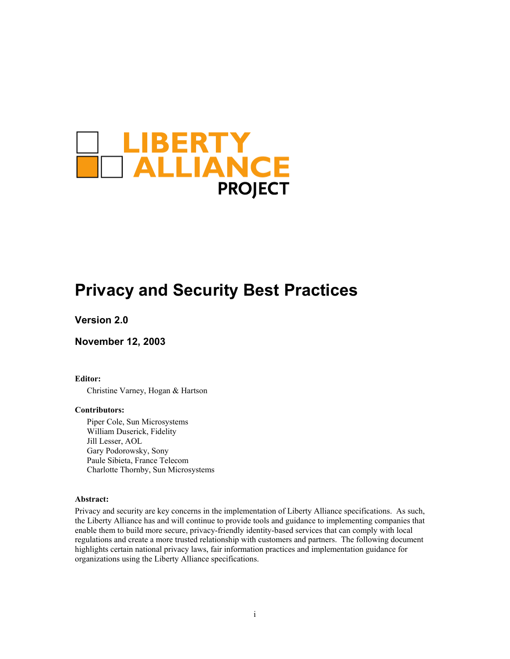

# **Privacy and Security Best Practices**

# **Version 2.0**

**November 12, 2003** 

## **Editor:**

Christine Varney, Hogan & Hartson

## **Contributors:**

Piper Cole, Sun Microsystems William Duserick, Fidelity Jill Lesser, AOL Gary Podorowsky, Sony Paule Sibieta, France Telecom Charlotte Thornby, Sun Microsystems

# **Abstract:**

Privacy and security are key concerns in the implementation of Liberty Alliance specifications. As such, the Liberty Alliance has and will continue to provide tools and guidance to implementing companies that enable them to build more secure, privacy-friendly identity-based services that can comply with local regulations and create a more trusted relationship with customers and partners. The following document highlights certain national privacy laws, fair information practices and implementation guidance for organizations using the Liberty Alliance specifications.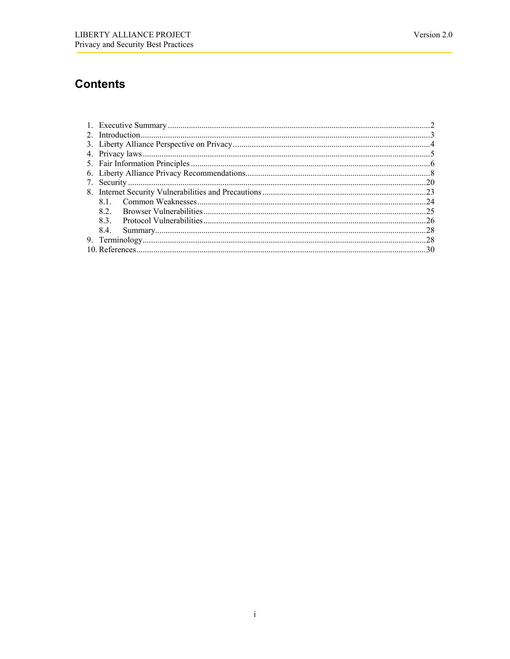# **Contents**

| 82   |  |
|------|--|
| 8.3. |  |
|      |  |
|      |  |
|      |  |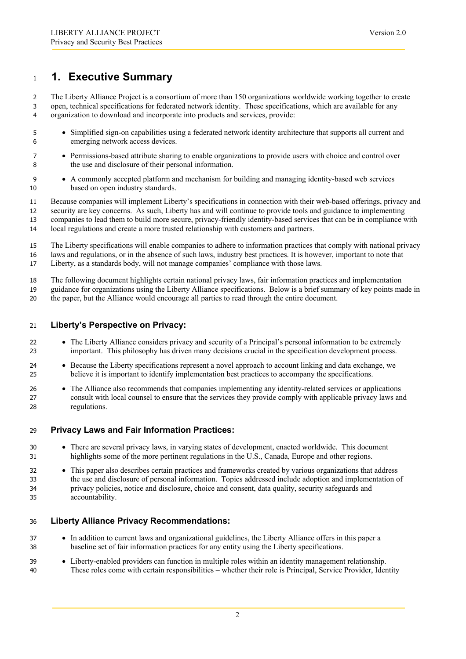# <span id="page-2-0"></span><sup>1</sup>**1. Executive Summary**

2 3 4 The Liberty Alliance Project is a consortium of more than 150 organizations worldwide working together to create open, technical specifications for federated network identity. These specifications, which are available for any organization to download and incorporate into products and services, provide:

- 5 6 • Simplified sign-on capabilities using a federated network identity architecture that supports all current and emerging network access devices.
- 7 8 • Permissions-based attribute sharing to enable organizations to provide users with choice and control over the use and disclosure of their personal information.
- $\circ$ 10 • A commonly accepted platform and mechanism for building and managing identity-based web services based on open industry standards.

11 12 13 14 Because companies will implement Liberty's specifications in connection with their web-based offerings, privacy and security are key concerns. As such, Liberty has and will continue to provide tools and guidance to implementing companies to lead them to build more secure, privacy-friendly identity-based services that can be in compliance with local regulations and create a more trusted relationship with customers and partners.

15 16 17 The Liberty specifications will enable companies to adhere to information practices that comply with national privacy laws and regulations, or in the absence of such laws, industry best practices. It is however, important to note that Liberty, as a standards body, will not manage companies' compliance with those laws.

18 The following document highlights certain national privacy laws, fair information practices and implementation

19 guidance for organizations using the Liberty Alliance specifications. Below is a brief summary of key points made in

20 the paper, but the Alliance would encourage all parties to read through the entire document.

#### 21 **Liberty's Perspective on Privacy:**

- 22 23 • The Liberty Alliance considers privacy and security of a Principal's personal information to be extremely important. This philosophy has driven many decisions crucial in the specification development process.
- 24 25 • Because the Liberty specifications represent a novel approach to account linking and data exchange, we believe it is important to identify implementation best practices to accompany the specifications.
- 26 27 28 • The Alliance also recommends that companies implementing any identity-related services or applications consult with local counsel to ensure that the services they provide comply with applicable privacy laws and regulations.

#### 29 **Privacy Laws and Fair Information Practices:**

30 31 • There are several privacy laws, in varying states of development, enacted worldwide. This document highlights some of the more pertinent regulations in the U.S., Canada, Europe and other regions.

32 33 34 35 • This paper also describes certain practices and frameworks created by various organizations that address the use and disclosure of personal information. Topics addressed include adoption and implementation of privacy policies, notice and disclosure, choice and consent, data quality, security safeguards and accountability.

#### 36 **Liberty Alliance Privacy Recommendations:**

- 37 38 • In addition to current laws and organizational guidelines, the Liberty Alliance offers in this paper a baseline set of fair information practices for any entity using the Liberty specifications.
- 39 40 • Liberty-enabled providers can function in multiple roles within an identity management relationship. These roles come with certain responsibilities – whether their role is Principal, Service Provider, Identity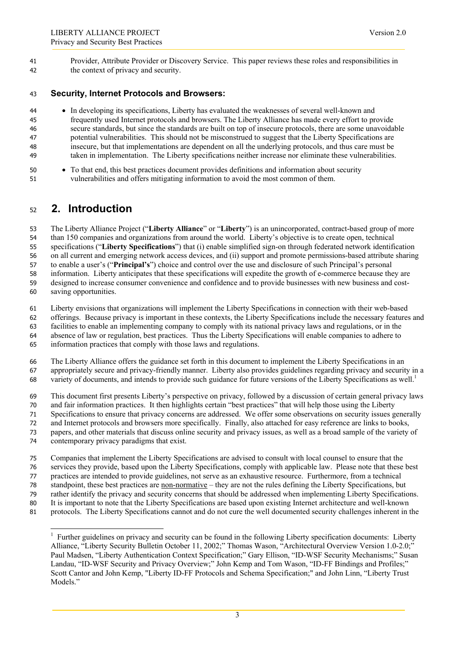<span id="page-3-0"></span>Provider, Attribute Provider or Discovery Service. This paper reviews these roles and responsibilities in the context of privacy and security. 41 42

43 **Security, Internet Protocols and Browsers:** 

44 45 46 47 48 49 • In developing its specifications, Liberty has evaluated the weaknesses of several well-known and frequently used Internet protocols and browsers. The Liberty Alliance has made every effort to provide secure standards, but since the standards are built on top of insecure protocols, there are some unavoidable potential vulnerabilities. This should not be misconstrued to suggest that the Liberty Specifications are insecure, but that implementations are dependent on all the underlying protocols, and thus care must be taken in implementation. The Liberty specifications neither increase nor eliminate these vulnerabilities.

50 51 • To that end, this best practices document provides definitions and information about security vulnerabilities and offers mitigating information to avoid the most common of them.

## 52 **2. Introduction**

53 The Liberty Alliance Project ("**Liberty Alliance**" or "**Liberty**") is an unincorporated, contract-based group of more

54 than 150 companies and organizations from around the world. Liberty's objective is to create open, technical specifications ("**Liberty Specifications**") that (i) enable simplified sign-on through federated network identification

55 56 on all current and emerging network access devices, and (ii) support and promote permissions-based attribute sharing

57 to enable a user's ("**Principal's**") choice and control over the use and disclosure of such Principal's personal

58 information. Liberty anticipates that these specifications will expedite the growth of e-commerce because they are

59 designed to increase consumer convenience and confidence and to provide businesses with new business and cost-

60 saving opportunities.

61 Liberty envisions that organizations will implement the Liberty Specifications in connection with their web-based

62 63 64 offerings. Because privacy is important in these contexts, the Liberty Specifications include the necessary features and facilities to enable an implementing company to comply with its national privacy laws and regulations, or in the absence of law or regulation, best practices. Thus the Liberty Specifications will enable companies to adhere to

65 information practices that comply with those laws and regulations.

66 67 68 The Liberty Alliance offers the guidance set forth in this document to implement the Liberty Specifications in an appropriately secure and privacy-friendly manner. Liberty also provides guidelines regarding privacy and security in a variety of documents, and intends to provide such guidance for future versions of the Liberty Specifications as well. [1](#page-3-1)

69 This document first presents Liberty's perspective on privacy, followed by a discussion of certain general privacy laws

70 and fair information practices. It then highlights certain "best practices" that will help those using the Liberty

71 Specifications to ensure that privacy concerns are addressed. We offer some observations on security issues generally

72 and Internet protocols and browsers more specifically. Finally, also attached for easy reference are links to books,

73 papers, and other materials that discuss online security and privacy issues, as well as a broad sample of the variety of

74 contemporary privacy paradigms that exist.

75 Companies that implement the Liberty Specifications are advised to consult with local counsel to ensure that the

76 services they provide, based upon the Liberty Specifications, comply with applicable law. Please note that these best

77 practices are intended to provide guidelines, not serve as an exhaustive resource. Furthermore, from a technical

standpoint, these best practices are non-normative – they are not the rules defining the Liberty Specifications, but 78

rather identify the privacy and security concerns that should be addressed when implementing Liberty Specifications. 79

It is important to note that the Liberty Specifications are based upon existing Internet architecture and well-known 80

protocols. The Liberty Specifications cannot and do not cure the well documented security challenges inherent in the 81

<span id="page-3-1"></span> <sup>1</sup> <sup>1</sup> Further guidelines on privacy and security can be found in the following Liberty specification documents: Liberty Alliance, "Liberty Security Bulletin October 11, 2002;" Thomas Wason, "Architectural Overview Version 1.0-2.0;" Paul Madsen, "Liberty Authentication Context Specification;" Gary Ellison, "ID-WSF Security Mechanisms;" Susan Landau, "ID-WSF Security and Privacy Overview;" John Kemp and Tom Wason, "ID-FF Bindings and Profiles;" Scott Cantor and John Kemp, "Liberty ID-FF Protocols and Schema Specification;" and John Linn, "Liberty Trust Models<sup>"</sup>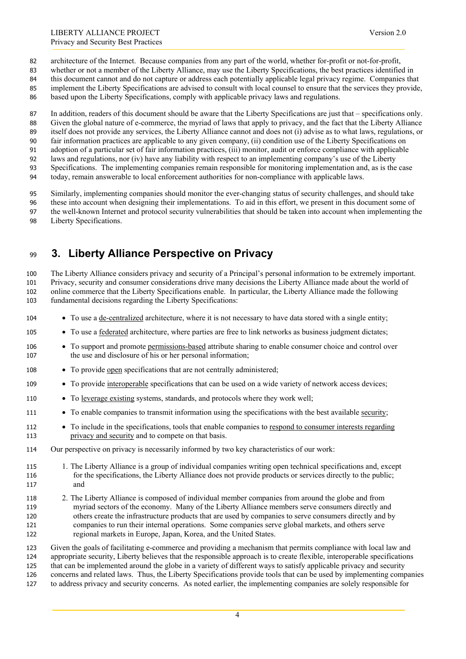- <span id="page-4-0"></span>architecture of the Internet. Because companies from any part of the world, whether for-profit or not-for-profit, 82
- whether or not a member of the Liberty Alliance, may use the Liberty Specifications, the best practices identified in 83
- this document cannot and do not capture or address each potentially applicable legal privacy regime. Companies that implement the Liberty Specifications are advised to consult with local counsel to ensure that the services they provide, 84
- based upon the Liberty Specifications, comply with applicable privacy laws and regulations. 85
- 86
- 87 88 89 90 91 In addition, readers of this document should be aware that the Liberty Specifications are just that – specifications only. Given the global nature of e-commerce, the myriad of laws that apply to privacy, and the fact that the Liberty Alliance itself does not provide any services, the Liberty Alliance cannot and does not (i) advise as to what laws, regulations, or fair information practices are applicable to any given company, (ii) condition use of the Liberty Specifications on adoption of a particular set of fair information practices, (iii) monitor, audit or enforce compliance with applicable
- 92 laws and regulations, nor (iv) have any liability with respect to an implementing company's use of the Liberty
- 93 Specifications. The implementing companies remain responsible for monitoring implementation and, as is the case
- 94 today, remain answerable to local enforcement authorities for non-compliance with applicable laws.
- 95 Similarly, implementing companies should monitor the ever-changing status of security challenges, and should take
- 96 these into account when designing their implementations. To aid in this effort, we present in this document some of
- 97 the well-known Internet and protocol security vulnerabilities that should be taken into account when implementing the
- 98 Liberty Specifications.

## 99 **3. Liberty Alliance Perspective on Privacy**

100 101 102 103 The Liberty Alliance considers privacy and security of a Principal's personal information to be extremely important. Privacy, security and consumer considerations drive many decisions the Liberty Alliance made about the world of online commerce that the Liberty Specifications enable. In particular, the Liberty Alliance made the following fundamental decisions regarding the Liberty Specifications:

- 104 To use a de-centralized architecture, where it is not necessary to have data stored with a single entity;
- 105 To use a federated architecture, where parties are free to link networks as business judgment dictates;
- To support and promote permissions-based attribute sharing to enable consumer choice and control over the use and disclosure of his or her personal information; 106 107
- 108 To provide open specifications that are not centrally administered;
- 109 To provide interoperable specifications that can be used on a wide variety of network access devices;
- 110 To leverage existing systems, standards, and protocols where they work well;
- 111 To enable companies to transmit information using the specifications with the best available security;
- To include in the specifications, tools that enable companies to respond to consumer interests regarding privacy and security and to compete on that basis. 112 113
- 114 Our perspective on privacy is necessarily informed by two key characteristics of our work:
- 115 116 117 1. The Liberty Alliance is a group of individual companies writing open technical specifications and, except for the specifications, the Liberty Alliance does not provide products or services directly to the public; and
- 118 119 120 121 122 2. The Liberty Alliance is composed of individual member companies from around the globe and from myriad sectors of the economy. Many of the Liberty Alliance members serve consumers directly and others create the infrastructure products that are used by companies to serve consumers directly and by companies to run their internal operations. Some companies serve global markets, and others serve regional markets in Europe, Japan, Korea, and the United States.
- 123 124 Given the goals of facilitating e-commerce and providing a mechanism that permits compliance with local law and appropriate security, Liberty believes that the responsible approach is to create flexible, interoperable specifications
- 125 that can be implemented around the globe in a variety of different ways to satisfy applicable privacy and security
- 126 127 concerns and related laws. Thus, the Liberty Specifications provide tools that can be used by implementing companies to address privacy and security concerns. As noted earlier, the implementing companies are solely responsible for
	- 4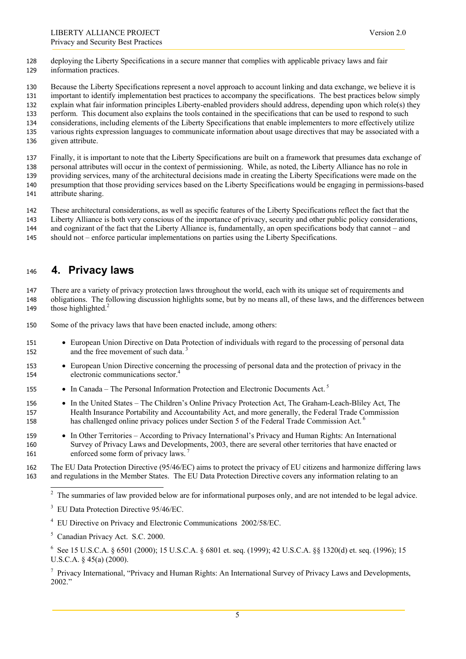- <span id="page-5-0"></span>deploying the Liberty Specifications in a secure manner that complies with applicable privacy laws and fair information practices. 128 129
- 130 Because the Liberty Specifications represent a novel approach to account linking and data exchange, we believe it is

131 important to identify implementation best practices to accompany the specifications. The best practices below simply

132 explain what fair information principles Liberty-enabled providers should address, depending upon which role(s) they

133 perform. This document also explains the tools contained in the specifications that can be used to respond to such considerations, including elements of the Liberty Specifications that enable implementers to more effectively utilize

134 135 various rights expression languages to communicate information about usage directives that may be associated with a

136 given attribute.

137 Finally, it is important to note that the Liberty Specifications are built on a framework that presumes data exchange of

138 personal attributes will occur in the context of permissioning. While, as noted, the Liberty Alliance has no role in

139 providing services, many of the architectural decisions made in creating the Liberty Specifications were made on the

140 presumption that those providing services based on the Liberty Specifications would be engaging in permissions-based

141 attribute sharing.

142 These architectural considerations, as well as specific features of the Liberty Specifications reflect the fact that the

143 Liberty Alliance is both very conscious of the importance of privacy, security and other public policy considerations,

144 and cognizant of the fact that the Liberty Alliance is, fundamentally, an open specifications body that cannot – and

145 should not – enforce particular implementations on parties using the Liberty Specifications.

## 146 **4. Privacy laws**

147 There are a variety of privacy protection laws throughout the world, each with its unique set of requirements and

- 148 149 obligations. The following discussion highlights some, but by no means all, of these laws, and the differences between those highlighted.<sup>2</sup>
- 150 Some of the privacy laws that have been enacted include, among others:
- 151 152 • European Union Directive on Data Protection of individuals with regard to the processing of personal data and the free movement of such data.<sup>[3](#page-5-2)</sup>
- 153 154 • European Union Directive concerning the processing of personal data and the protection of privacy in the electronic communications sector.<sup>[4](#page-5-3)</sup>
- 155 • In Canada – The Personal Information Protection and Electronic Documents Act.<sup>5</sup>
- 156 157 158 • In the United States – The Children's Online Privacy Protection Act, The Graham-Leach-Bliley Act, The Health Insurance Portability and Accountability Act, and more generally, the Federal Trade Commission has challenged online privacy polices under Section 5 of the Federal Trade Commission Act. <sup>6</sup>
- 159 160 161 • In Other Territories – According to Privacy International's Privacy and Human Rights: An International Survey of Privacy Laws and Developments, 2003, there are several other territories that have enacted or enforced some form of privacy laws. [7](#page-5-6)
- <span id="page-5-1"></span>162 163 The EU Data Protection Directive (95/46/EC) aims to protect the privacy of EU citizens and harmonize differing laws and regulations in the Member States. The EU Data Protection Directive covers any information relating to an
	- <sup>2</sup> The summaries of law provided below are for informational purposes only, and are not intended to be legal advice.
	- 3 EU Data Protection Directive 95/46/EC.
	- 4 EU Directive on Privacy and Electronic Communications 2002/58/EC.
	- 5 Canadian Privacy Act. S.C. 2000.

<span id="page-5-5"></span><span id="page-5-4"></span><span id="page-5-3"></span><span id="page-5-2"></span><sup>6</sup> See 15 U.S.C.A. § 6501 (2000); 15 U.S.C.A. § 6801 et. seq. (1999); 42 U.S.C.A. §§ 1320(d) et. seq. (1996); 15 U.S.C.A. § 45(a) (2000).

<span id="page-5-6"></span><sup>7</sup> Privacy International, "Privacy and Human Rights: An International Survey of Privacy Laws and Developments, 2002."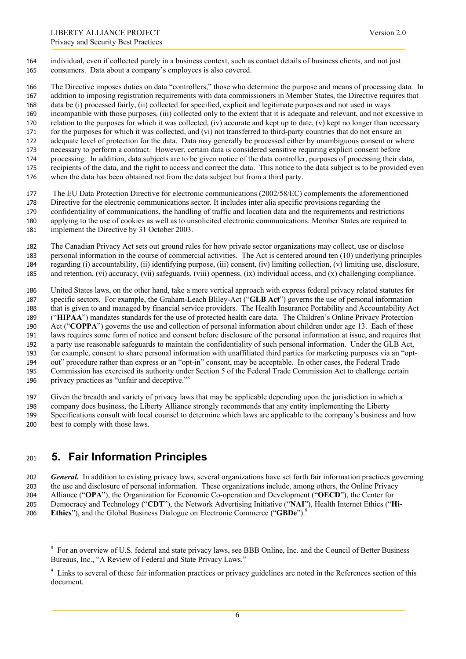<span id="page-6-0"></span>individual, even if collected purely in a business context, such as contact details of business clients, and not just consumers. Data about a company's employees is also covered. 164 165

166 167 168 169 170 171 172 173 174 175 176 177 The Directive imposes duties on data "controllers," those who determine the purpose and means of processing data. In addition to imposing registration requirements with data commissioners in Member States, the Directive requires that data be (i) processed fairly, (ii) collected for specified, explicit and legitimate purposes and not used in ways incompatible with those purposes, (iii) collected only to the extent that it is adequate and relevant, and not excessive in relation to the purposes for which it was collected, (iv) accurate and kept up to date, (v) kept no longer than necessary for the purposes for which it was collected, and (vi) not transferred to third-party countries that do not ensure an adequate level of protection for the data. Data may generally be processed either by unambiguous consent or where necessary to perform a contract. However, certain data is considered sensitive requiring explicit consent before processing. In addition, data subjects are to be given notice of the data controller, purposes of processing their data, recipients of the data, and the right to access and correct the data. This notice to the data subject is to be provided even when the data has been obtained not from the data subject but from a third party. The EU Data Protection Directive for electronic communications (2002/58/EC) complements the aforementioned

- 178 179 180 Directive for the electronic communications sector. It includes inter alia specific provisions regarding the confidentiality of communications, the handling of traffic and location data and the requirements and restrictions applying to the use of cookies as well as to unsolicited electronic communications. Member States are required to
- 181 implement the Directive by 31 October 2003.

182 183 184 185 The Canadian Privacy Act sets out ground rules for how private sector organizations may collect, use or disclose personal information in the course of commercial activities. The Act is centered around ten (10) underlying principles regarding (i) accountability, (ii) identifying purpose, (iii) consent, (iv) limiting collection, (v) limiting use, disclosure, and retention, (vi) accuracy, (vii) safeguards, (viii) openness, (ix) individual access, and (x) challenging compliance.

186 187 188 189 190 191 192 193 194 195 196 United States laws, on the other hand, take a more vertical approach with express federal privacy related statutes for specific sectors. For example, the Graham-Leach Bliley-Act ("**GLB Act**") governs the use of personal information that is given to and managed by financial service providers. The Health Insurance Portability and Accountability Act ("**HIPAA**") mandates standards for the use of protected health care data. The Children's Online Privacy Protection Act ("**COPPA**") governs the use and collection of personal information about children under age 13. Each of these laws requires some form of notice and consent before disclosure of the personal information at issue, and requires that a party use reasonable safeguards to maintain the confidentiality of such personal information. Under the GLB Act, for example, consent to share personal information with unaffiliated third parties for marketing purposes via an "optout" procedure rather than express or an "opt-in" consent, may be acceptable. In other cases, the Federal Trade Commission has exercised its authority under Section 5 of the Federal Trade Commission Act to challenge certain privacy practices as "unfair and deceptive."<sup>[8](#page-6-1)</sup>

197 Given the breadth and variety of privacy laws that may be applicable depending upon the jurisdiction in which a

- 198 199 company does business, the Liberty Alliance strongly recommends that any entity implementing the Liberty Specifications consult with local counsel to determine which laws are applicable to the company's business and how
- 200 best to comply with those laws.

l

## 201 **5. Fair Information Principles**

202 *General.* In addition to existing privacy laws, several organizations have set forth fair information practices governing

- 203 204 the use and disclosure of personal information. These organizations include, among others, the Online Privacy Alliance ("**OPA**"), the Organization for Economic Co-operation and Development ("**OECD**"), the Center for
- 205 Democracy and Technology ("**CDT**"), the Network Advertising Initiative ("**NAI**"), Health Internet Ethics ("**Hi-**
- 206 **Ethics**"), and the Global Business Dialogue on Electronic Commerce ("**GBDe**")[.9](#page-6-2)

<span id="page-6-1"></span><sup>8</sup> For an overview of U.S. federal and state privacy laws, see BBB Online, Inc. and the Council of Better Business Bureaus, Inc., "A Review of Federal and State Privacy Laws."

<span id="page-6-2"></span><sup>&</sup>lt;sup>9</sup> Links to several of these fair information practices or privacy guidelines are noted in the References section of this document.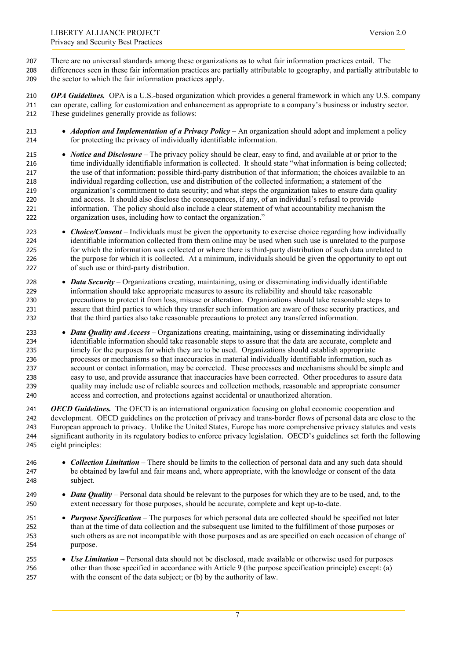There are no universal standards among these organizations as to what fair information practices entail. The differences seen in these fair information practices are partially attributable to geography, and partially attributable to the sector to which the fair information practices apply. 207 208 209

210 211 212 *OPA Guidelines.* OPA is a U.S.-based organization which provides a general framework in which any U.S. company can operate, calling for customization and enhancement as appropriate to a company's business or industry sector. These guidelines generally provide as follows:

- 213 214 • *Adoption and Implementation of a Privacy Policy* – An organization should adopt and implement a policy for protecting the privacy of individually identifiable information.
- 215 216 217 218 219 220 221 222 • *Notice and Disclosure* – The privacy policy should be clear, easy to find, and available at or prior to the time individually identifiable information is collected. It should state "what information is being collected; the use of that information; possible third-party distribution of that information; the choices available to an individual regarding collection, use and distribution of the collected information; a statement of the organization's commitment to data security; and what steps the organization takes to ensure data quality and access. It should also disclose the consequences, if any, of an individual's refusal to provide information. The policy should also include a clear statement of what accountability mechanism the organization uses, including how to contact the organization."
- 223 224 225 226 227 • *Choice/Consent* – Individuals must be given the opportunity to exercise choice regarding how individually identifiable information collected from them online may be used when such use is unrelated to the purpose for which the information was collected or where there is third-party distribution of such data unrelated to the purpose for which it is collected. At a minimum, individuals should be given the opportunity to opt out of such use or third-party distribution.
- 228 229 230 231 232 • *Data Security* – Organizations creating, maintaining, using or disseminating individually identifiable information should take appropriate measures to assure its reliability and should take reasonable precautions to protect it from loss, misuse or alteration. Organizations should take reasonable steps to assure that third parties to which they transfer such information are aware of these security practices, and that the third parties also take reasonable precautions to protect any transferred information.
- 233 234 235 236 237 238 239 240 • *Data Quality and Access* – Organizations creating, maintaining, using or disseminating individually identifiable information should take reasonable steps to assure that the data are accurate, complete and timely for the purposes for which they are to be used. Organizations should establish appropriate processes or mechanisms so that inaccuracies in material individually identifiable information, such as account or contact information, may be corrected. These processes and mechanisms should be simple and easy to use, and provide assurance that inaccuracies have been corrected. Other procedures to assure data quality may include use of reliable sources and collection methods, reasonable and appropriate consumer access and correction, and protections against accidental or unauthorized alteration.
- 241 242 243 244 245 *OECD Guidelines.* The OECD is an international organization focusing on global economic cooperation and development. OECD guidelines on the protection of privacy and trans-border flows of personal data are close to the European approach to privacy. Unlike the United States, Europe has more comprehensive privacy statutes and vests significant authority in its regulatory bodies to enforce privacy legislation. OECD's guidelines set forth the following eight principles:
- 246 247 248 • *Collection Limitation* – There should be limits to the collection of personal data and any such data should be obtained by lawful and fair means and, where appropriate, with the knowledge or consent of the data subject.
- 249 250 • *Data Quality* – Personal data should be relevant to the purposes for which they are to be used, and, to the extent necessary for those purposes, should be accurate, complete and kept up-to-date.
- 251 252 253 254 • *Purpose Specification* – The purposes for which personal data are collected should be specified not later than at the time of data collection and the subsequent use limited to the fulfillment of those purposes or such others as are not incompatible with those purposes and as are specified on each occasion of change of purpose.
- 255 256 257 • *Use Limitation* – Personal data should not be disclosed, made available or otherwise used for purposes other than those specified in accordance with Article 9 (the purpose specification principle) except: (a) with the consent of the data subject; or (b) by the authority of law.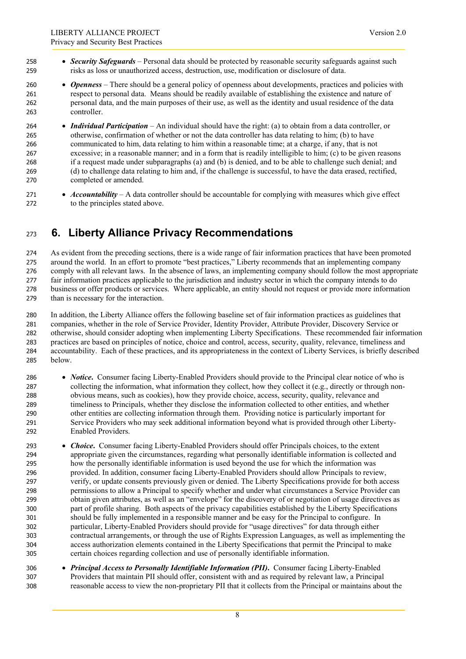- <span id="page-8-0"></span>• *Security Safeguards* – Personal data should be protected by reasonable security safeguards against such risks as loss or unauthorized access, destruction, use, modification or disclosure of data. 258 259
- 260 261 262 263 • *Openness* – There should be a general policy of openness about developments, practices and policies with respect to personal data. Means should be readily available of establishing the existence and nature of personal data, and the main purposes of their use, as well as the identity and usual residence of the data controller.
- 264 265 266 267 268 269 270 • *Individual Participation* – An individual should have the right: (a) to obtain from a data controller, or otherwise, confirmation of whether or not the data controller has data relating to him; (b) to have communicated to him, data relating to him within a reasonable time; at a charge, if any, that is not excessive; in a reasonable manner; and in a form that is readily intelligible to him; (c) to be given reasons if a request made under subparagraphs (a) and (b) is denied, and to be able to challenge such denial; and (d) to challenge data relating to him and, if the challenge is successful, to have the data erased, rectified, completed or amended.
- 271 272 • *Accountability* – A data controller should be accountable for complying with measures which give effect to the principles stated above.

## 273 **6. Liberty Alliance Privacy Recommendations**

274 275 276 277 278 279 As evident from the preceding sections, there is a wide range of fair information practices that have been promoted around the world. In an effort to promote "best practices," Liberty recommends that an implementing company comply with all relevant laws. In the absence of laws, an implementing company should follow the most appropriate fair information practices applicable to the jurisdiction and industry sector in which the company intends to do business or offer products or services. Where applicable, an entity should not request or provide more information than is necessary for the interaction.

280 281 282 283 284 285 In addition, the Liberty Alliance offers the following baseline set of fair information practices as guidelines that companies, whether in the role of Service Provider, Identity Provider, Attribute Provider, Discovery Service or otherwise, should consider adopting when implementing Liberty Specifications. These recommended fair information practices are based on principles of notice, choice and control, access, security, quality, relevance, timeliness and accountability. Each of these practices, and its appropriateness in the context of Liberty Services, is briefly described below.

- 286 287 288 289 290 291 292 • *Notice*. Consumer facing Liberty-Enabled Providers should provide to the Principal clear notice of who is collecting the information, what information they collect, how they collect it (e.g., directly or through nonobvious means, such as cookies), how they provide choice, access, security, quality, relevance and timeliness to Principals, whether they disclose the information collected to other entities, and whether other entities are collecting information through them. Providing notice is particularly important for Service Providers who may seek additional information beyond what is provided through other Liberty-Enabled Providers.
- 293 294 295 296 297 298 299 300 • *Choice***.** Consumer facing Liberty-Enabled Providers should offer Principals choices, to the extent appropriate given the circumstances, regarding what personally identifiable information is collected and how the personally identifiable information is used beyond the use for which the information was provided. In addition, consumer facing Liberty-Enabled Providers should allow Principals to review, verify, or update consents previously given or denied. The Liberty Specifications provide for both access permissions to allow a Principal to specify whether and under what circumstances a Service Provider can obtain given attributes, as well as an "envelope" for the discovery of or negotiation of usage directives as part of profile sharing. Both aspects of the privacy capabilities established by the Liberty Specifications should be fully implemented in a responsible manner and be easy for the Principal to configure. In particular, Liberty-Enabled Providers should provide for "usage directives" for data through either contractual arrangements, or through the use of Rights Expression Languages, as well as implementing the access authorization elements contained in the Liberty Specifications that permit the Principal to make certain choices regarding collection and use of personally identifiable information. 301 302 303 304 305
- 306 307 • *Principal Access to Personally Identifiable Information (PII)***.** Consumer facing Liberty-Enabled Providers that maintain PII should offer, consistent with and as required by relevant law, a Principal 308 reasonable access to view the non-proprietary PII that it collects from the Principal or maintains about the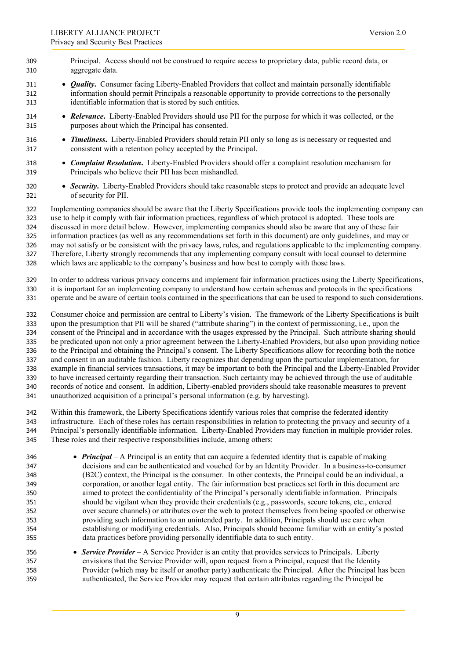- Principal. Access should not be construed to require access to proprietary data, public record data, or aggregate data. 309 310
- 311 312 313 • *Quality***.** Consumer facing Liberty-Enabled Providers that collect and maintain personally identifiable information should permit Principals a reasonable opportunity to provide corrections to the personally identifiable information that is stored by such entities.
- 314 315 • *Relevance***.** Liberty-Enabled Providers should use PII for the purpose for which it was collected, or the purposes about which the Principal has consented.
- 316 317 • *Timeliness***.** Liberty-Enabled Providers should retain PII only so long as is necessary or requested and consistent with a retention policy accepted by the Principal.
- 318 319 • *Complaint Resolution***.** Liberty-Enabled Providers should offer a complaint resolution mechanism for Principals who believe their PII has been mishandled.
- 320 321 • *Security*. Liberty-Enabled Providers should take reasonable steps to protect and provide an adequate level of security for PII.

322 323 324 325 326 327 328 Implementing companies should be aware that the Liberty Specifications provide tools the implementing company can use to help it comply with fair information practices, regardless of which protocol is adopted. These tools are discussed in more detail below. However, implementing companies should also be aware that any of these fair information practices (as well as any recommendations set forth in this document) are only guidelines, and may or may not satisfy or be consistent with the privacy laws, rules, and regulations applicable to the implementing company. Therefore, Liberty strongly recommends that any implementing company consult with local counsel to determine which laws are applicable to the company's business and how best to comply with those laws.

329 330 331 In order to address various privacy concerns and implement fair information practices using the Liberty Specifications, it is important for an implementing company to understand how certain schemas and protocols in the specifications operate and be aware of certain tools contained in the specifications that can be used to respond to such considerations.

332 333 334 335 336 337 338 Consumer choice and permission are central to Liberty's vision. The framework of the Liberty Specifications is built upon the presumption that PII will be shared ("attribute sharing") in the context of permissioning, i.e., upon the consent of the Principal and in accordance with the usages expressed by the Principal. Such attribute sharing should be predicated upon not only a prior agreement between the Liberty-Enabled Providers, but also upon providing notice to the Principal and obtaining the Principal's consent. The Liberty Specifications allow for recording both the notice and consent in an auditable fashion. Liberty recognizes that depending upon the particular implementation, for example in financial services transactions, it may be important to both the Principal and the Liberty-Enabled Provider

339 340 to have increased certainty regarding their transaction. Such certainty may be achieved through the use of auditable records of notice and consent. In addition, Liberty-enabled providers should take reasonable measures to prevent

341 unauthorized acquisition of a principal's personal information (e.g. by harvesting).

342 343 344 345 Within this framework, the Liberty Specifications identify various roles that comprise the federated identity infrastructure. Each of these roles has certain responsibilities in relation to protecting the privacy and security of a Principal's personally identifiable information. Liberty-Enabled Providers may function in multiple provider roles. These roles and their respective responsibilities include, among others:

- 346 347 348 349 350 351 352 353 354 355 • *Principal* – A Principal is an entity that can acquire a federated identity that is capable of making decisions and can be authenticated and vouched for by an Identity Provider. In a business-to-consumer (B2C) context, the Principal is the consumer. In other contexts, the Principal could be an individual, a corporation, or another legal entity. The fair information best practices set forth in this document are aimed to protect the confidentiality of the Principal's personally identifiable information. Principals should be vigilant when they provide their credentials (e.g., passwords, secure tokens, etc., entered over secure channels) or attributes over the web to protect themselves from being spoofed or otherwise providing such information to an unintended party. In addition, Principals should use care when establishing or modifying credentials. Also, Principals should become familiar with an entity's posted data practices before providing personally identifiable data to such entity.
- 356 357 358 359 • *Service Provider* – A Service Provider is an entity that provides services to Principals. Liberty envisions that the Service Provider will, upon request from a Principal, request that the Identity Provider (which may be itself or another party) authenticate the Principal. After the Principal has been authenticated, the Service Provider may request that certain attributes regarding the Principal be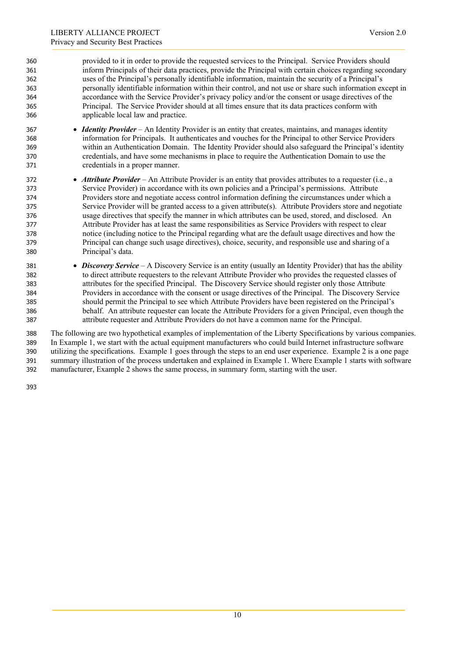provided to it in order to provide the requested services to the Principal. Service Providers should inform Principals of their data practices, provide the Principal with certain choices regarding secondary uses of the Principal's personally identifiable information, maintain the security of a Principal's personally identifiable information within their control, and not use or share such information except in accordance with the Service Provider's privacy policy and/or the consent or usage directives of the Principal. The Service Provider should at all times ensure that its data practices conform with applicable local law and practice. 360 361 362 363 364 365 366 367 368 • *Identity Provider* – An Identity Provider is an entity that creates, maintains, and manages identity information for Principals. It authenticates and vouches for the Principal to other Service Providers

- 369 370 371 within an Authentication Domain. The Identity Provider should also safeguard the Principal's identity credentials, and have some mechanisms in place to require the Authentication Domain to use the credentials in a proper manner.
- 372 373 374 375 376 377 378 379 380 • *Attribute Provider* – An Attribute Provider is an entity that provides attributes to a requester (i.e., a Service Provider) in accordance with its own policies and a Principal's permissions. Attribute Providers store and negotiate access control information defining the circumstances under which a Service Provider will be granted access to a given attribute(s). Attribute Providers store and negotiate usage directives that specify the manner in which attributes can be used, stored, and disclosed. An Attribute Provider has at least the same responsibilities as Service Providers with respect to clear notice (including notice to the Principal regarding what are the default usage directives and how the Principal can change such usage directives), choice, security, and responsible use and sharing of a Principal's data.
- 381 382 383 384 385 386 387 • *Discovery Service* – A Discovery Service is an entity (usually an Identity Provider) that has the ability to direct attribute requesters to the relevant Attribute Provider who provides the requested classes of attributes for the specified Principal. The Discovery Service should register only those Attribute Providers in accordance with the consent or usage directives of the Principal. The Discovery Service should permit the Principal to see which Attribute Providers have been registered on the Principal's behalf. An attribute requester can locate the Attribute Providers for a given Principal, even though the attribute requester and Attribute Providers do not have a common name for the Principal.

388 389 390 391 392 The following are two hypothetical examples of implementation of the Liberty Specifications by various companies. In Example 1, we start with the actual equipment manufacturers who could build Internet infrastructure software utilizing the specifications. Example 1 goes through the steps to an end user experience. Example 2 is a one page summary illustration of the process undertaken and explained in Example 1. Where Example 1 starts with software manufacturer, Example 2 shows the same process, in summary form, starting with the user.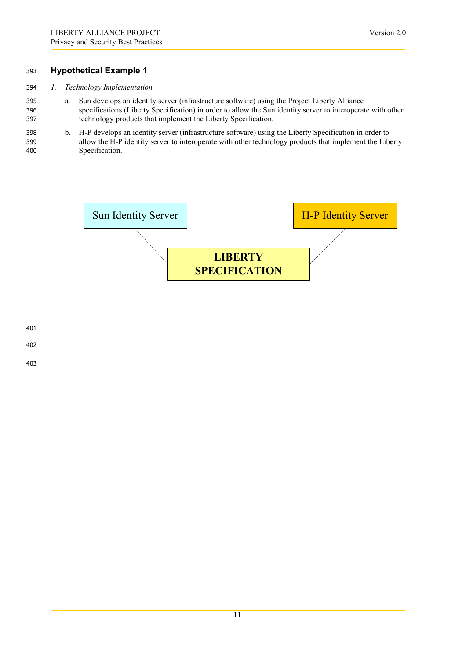# 393 **Hypothetical Example 1**

#### 394 *1. Technology Implementation*

- 395 396 397 a. Sun develops an identity server (infrastructure software) using the Project Liberty Alliance specifications (Liberty Specification) in order to allow the Sun identity server to interoperate with other technology products that implement the Liberty Specification.
- 398 399 400 b. H-P develops an identity server (infrastructure software) using the Liberty Specification in order to allow the H-P identity server to interoperate with other technology products that implement the Liberty Specification.



401

402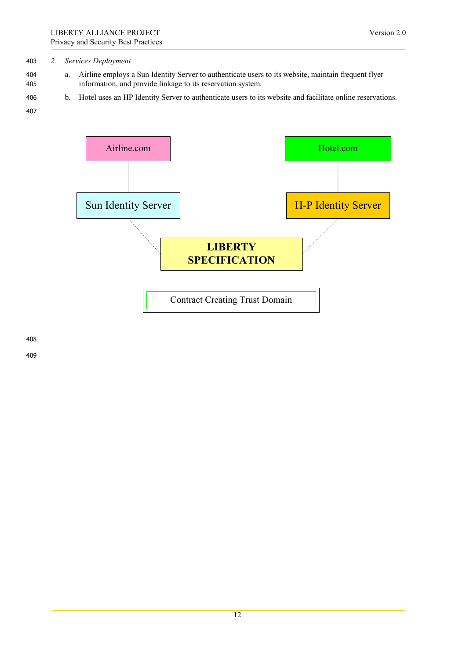# 403 *2. Services Deployment*

- 404 405 a. Airline employs a Sun Identity Server to authenticate users to its website, maintain frequent flyer information, and provide linkage to its reservation system.
	- b. Hotel uses an HP Identity Server to authenticate users to its website and facilitate online reservations.
- 406 407



408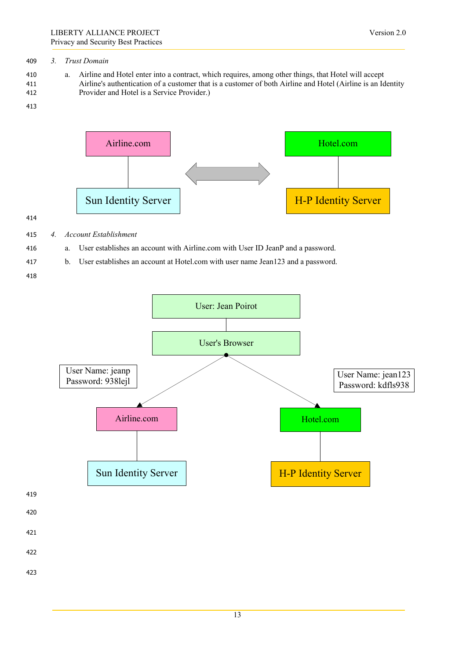# 409 *3. Trust Domain*

- 410
- a. Airline and Hotel enter into a contract, which requires, among other things, that Hotel will accept Airline's authentication of a customer that is a customer of both Airline and Hotel (Airline is an Identity Provider and Hotel is a Service Provider.)
- 412 413



- 414
- 415 *4. Account Establishment*
- 416 a. User establishes an account with Airline.com with User ID JeanP and a password.
- 417 b. User establishes an account at Hotel.com with user name Jean123 and a password.
- 418

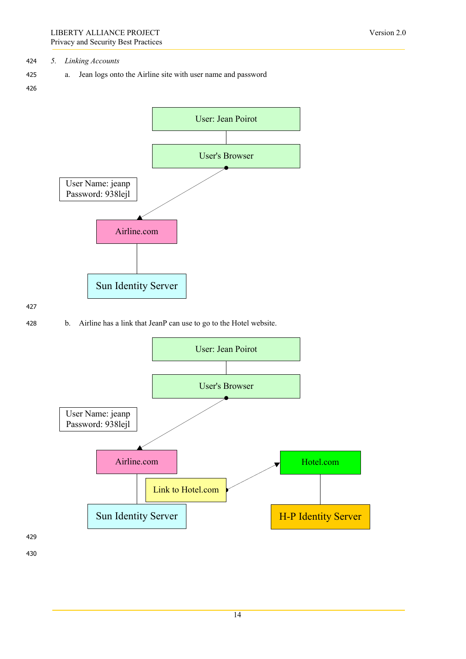424 *5. Linking Accounts*

425 a. Jean logs onto the Airline site with user name and password

## 426



427



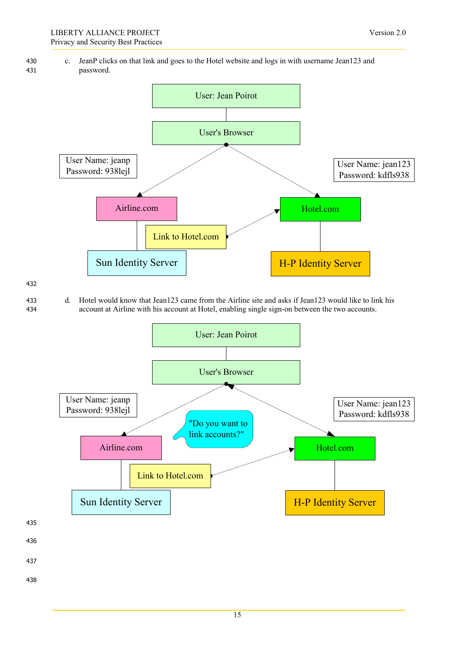- 430 431
- c. JeanP clicks on that link and goes to the Hotel website and logs in with username Jean123 and password.



433 434 d. Hotel would know that Jean123 came from the Airline site and asks if Jean123 would like to link his account at Airline with his account at Hotel, enabling single sign-on between the two accounts.



438

435

436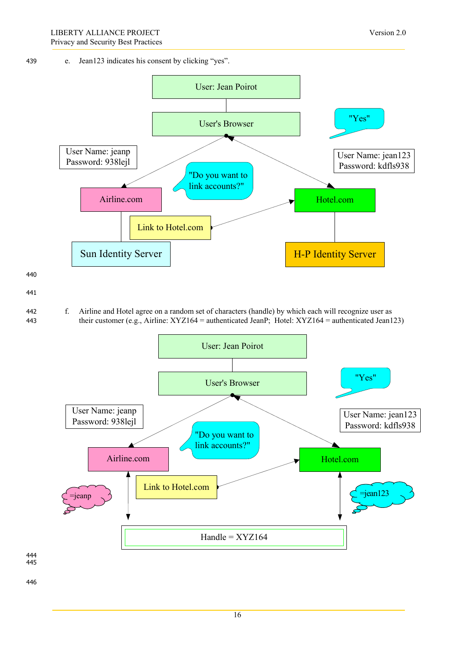

441

442 443 f. Airline and Hotel agree on a random set of characters (handle) by which each will recognize user as their customer (e.g., Airline: XYZ164 = authenticated JeanP; Hotel: XYZ164 = authenticated Jean123)



445 446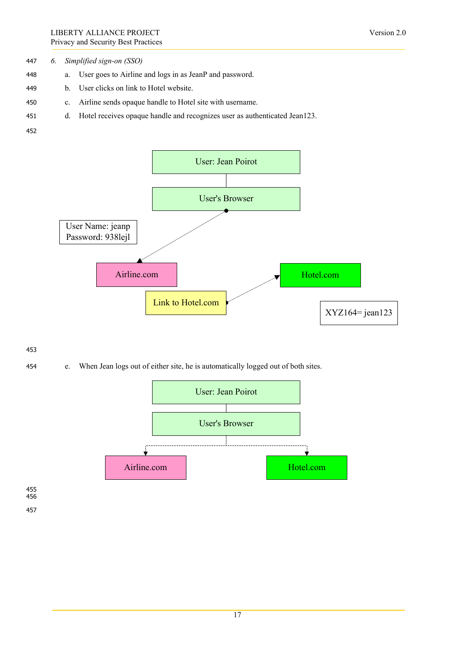- 447 *6. Simplified sign-on (SSO)*
- 448 a. User goes to Airline and logs in as JeanP and password.
- 449 b. User clicks on link to Hotel website.
- 450 c. Airline sends opaque handle to Hotel site with username.
- 451 d. Hotel receives opaque handle and recognizes user as authenticated Jean123.
- 452



454 e. When Jean logs out of either site, he is automatically logged out of both sites.

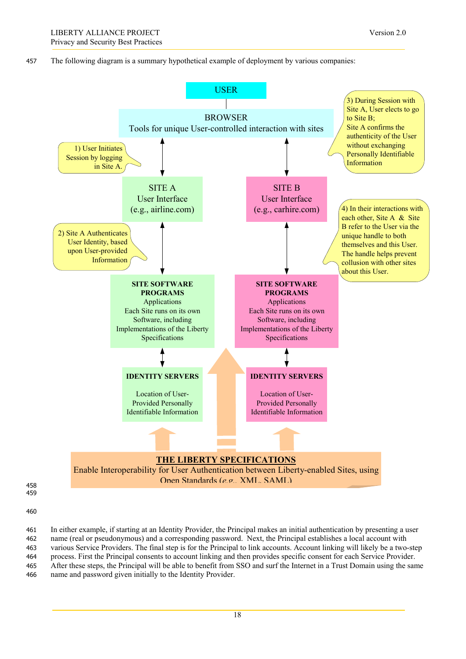460

# 457 The following diagram is a summary hypothetical example of deployment by various companies:



461 462 463 464 465 466 name (real or pseudonymous) and a corresponding password. Next, the Principal establishes a local account with various Service Providers. The final step is for the Principal to link accounts. Account linking will likely be a two-step process. First the Principal consents to account linking and then provides specific consent for each Service Provider. After these steps, the Principal will be able to benefit from SSO and surf the Internet in a Trust Domain using the same name and password given initially to the Identity Provider.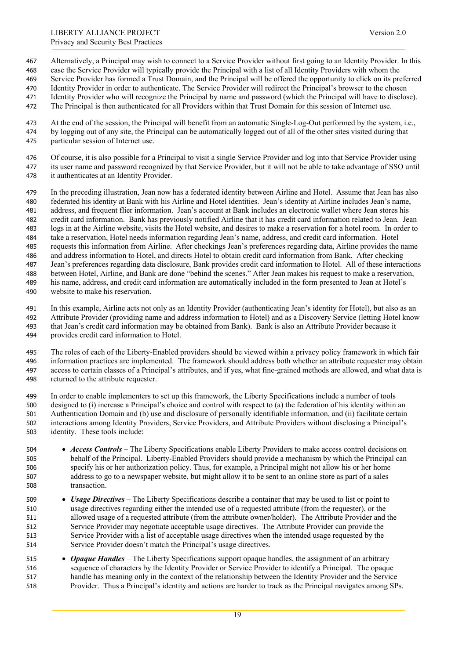Alternatively, a Principal may wish to connect to a Service Provider without first going to an Identity Provider. In this case the Service Provider will typically provide the Principal with a list of all Identity Providers with whom the Service Provider has formed a Trust Domain, and the Principal will be offered the opportunity to click on its preferred 467 468 469

Identity Provider in order to authenticate. The Service Provider will redirect the Principal's browser to the chosen 470

Identity Provider who will recognize the Principal by name and password (which the Principal will have to disclose). 471

The Principal is then authenticated for all Providers within that Trust Domain for this session of Internet use. 472

- 473 474 475 At the end of the session, the Principal will benefit from an automatic Single-Log-Out performed by the system, i.e., by logging out of any site, the Principal can be automatically logged out of all of the other sites visited during that particular session of Internet use.
- 476 477 478 Of course, it is also possible for a Principal to visit a single Service Provider and log into that Service Provider using its user name and password recognized by that Service Provider, but it will not be able to take advantage of SSO until it authenticates at an Identity Provider.
- 479 480 481 482 483 484 485 486 487 488 489 490 In the preceding illustration, Jean now has a federated identity between Airline and Hotel. Assume that Jean has also federated his identity at Bank with his Airline and Hotel identities. Jean's identity at Airline includes Jean's name, address, and frequent flier information. Jean's account at Bank includes an electronic wallet where Jean stores his credit card information. Bank has previously notified Airline that it has credit card information related to Jean. Jean logs in at the Airline website, visits the Hotel website, and desires to make a reservation for a hotel room. In order to take a reservation, Hotel needs information regarding Jean's name, address, and credit card information. Hotel requests this information from Airline. After checkings Jean's preferences regarding data, Airline provides the name and address information to Hotel, and directs Hotel to obtain credit card information from Bank. After checking Jean's preferences regarding data disclosure, Bank provides credit card information to Hotel. All of these interactions between Hotel, Airline, and Bank are done "behind the scenes." After Jean makes his request to make a reservation, his name, address, and credit card information are automatically included in the form presented to Jean at Hotel's website to make his reservation.
- 491 492 493 494 In this example, Airline acts not only as an Identity Provider (authenticating Jean's identity for Hotel), but also as an Attribute Provider (providing name and address information to Hotel) and as a Discovery Service (letting Hotel know that Jean's credit card information may be obtained from Bank). Bank is also an Attribute Provider because it provides credit card information to Hotel.
- 495 496 497 498 The roles of each of the Liberty-Enabled providers should be viewed within a privacy policy framework in which fair information practices are implemented. The framework should address both whether an attribute requester may obtain access to certain classes of a Principal's attributes, and if yes, what fine-grained methods are allowed, and what data is returned to the attribute requester.
- 499 500 501 502 503 In order to enable implementers to set up this framework, the Liberty Specifications include a number of tools designed to (i) increase a Principal's choice and control with respect to (a) the federation of his identity within an Authentication Domain and (b) use and disclosure of personally identifiable information, and (ii) facilitate certain interactions among Identity Providers, Service Providers, and Attribute Providers without disclosing a Principal's identity. These tools include:
- 504 505 506 507 508 • *Access Controls* – The Liberty Specifications enable Liberty Providers to make access control decisions on behalf of the Principal. Liberty-Enabled Providers should provide a mechanism by which the Principal can specify his or her authorization policy. Thus, for example, a Principal might not allow his or her home address to go to a newspaper website, but might allow it to be sent to an online store as part of a sales transaction.
- 509 510 511 512 513 514 • *Usage Directives* – The Liberty Specifications describe a container that may be used to list or point to usage directives regarding either the intended use of a requested attribute (from the requester), or the allowed usage of a requested attribute (from the attribute owner/holder). The Attribute Provider and the Service Provider may negotiate acceptable usage directives. The Attribute Provider can provide the Service Provider with a list of acceptable usage directives when the intended usage requested by the Service Provider doesn't match the Principal's usage directives.
- 515 516 517 518 • *Opaque Handles* – The Liberty Specifications support opaque handles, the assignment of an arbitrary sequence of characters by the Identity Provider or Service Provider to identify a Principal. The opaque handle has meaning only in the context of the relationship between the Identity Provider and the Service Provider. Thus a Principal's identity and actions are harder to track as the Principal navigates among SPs.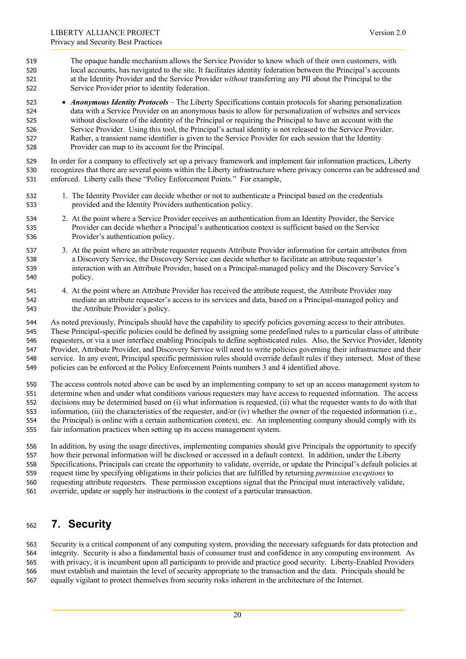- <span id="page-20-0"></span>The opaque handle mechanism allows the Service Provider to know which of their own customers, with local accounts, has navigated to the site. It facilitates identity federation between the Principal's accounts at the Identity Provider and the Service Provider *without* transferring any PII about the Principal to the Service Provider prior to identity federation. 519 520 521 522
- 523 524 525 526 527 528 • *Anonymous Identity Protocols* – The Liberty Specifications contain protocols for sharing personalization data with a Service Provider on an anonymous basis to allow for personalization of websites and services without disclosure of the identity of the Principal or requiring the Principal to have an account with the Service Provider. Using this tool, the Principal's actual identity is not released to the Service Provider. Rather, a transient name identifier is given to the Service Provider for each session that the Identity Provider can map to its account for the Principal.
- 529 530 531 In order for a company to effectively set up a privacy framework and implement fair information practices, Liberty recognizes that there are several points within the Liberty infrastructure where privacy concerns can be addressed and enforced. Liberty calls these "Policy Enforcement Points." For example,
- 532 533 1. The Identity Provider can decide whether or not to authenticate a Principal based on the credentials provided and the Identity Providers authentication policy.
- 534 535 536 2. At the point where a Service Provider receives an authentication from an Identity Provider, the Service Provider can decide whether a Principal's authentication context is sufficient based on the Service Provider's authentication policy.
- 537 538 539 540 3. At the point where an attribute requester requests Attribute Provider information for certain attributes from a Discovery Service, the Discovery Service can decide whether to facilitate an attribute requester's interaction with an Attribute Provider, based on a Principal-managed policy and the Discovery Service's policy.
- 541 542 543 4. At the point where an Attribute Provider has received the attribute request, the Attribute Provider may mediate an attribute requester's access to its services and data, based on a Principal-managed policy and the Attribute Provider's policy.
- 544 545 546 547 548 549 As noted previously, Principals should have the capability to specify policies governing access to their attributes. These Principal-specific policies could be defined by assigning some predefined rules to a particular class of attribute requesters, or via a user interface enabling Principals to define sophisticated rules. Also, the Service Provider, Identity Provider, Attribute Provider, and Discovery Service will need to write policies governing their infrastructure and their service. In any event, Principal specific permission rules should override default rules if they intersect. Most of these policies can be enforced at the Policy Enforcement Points numbers 3 and 4 identified above.
- 550 551 552 553 554 The access controls noted above can be used by an implementing company to set up an access management system to determine when and under what conditions various requesters may have access to requested information. The access decisions may be determined based on (i) what information is requested, (ii) what the requester wants to do with that information, (iii) the characteristics of the requester, and/or (iv) whether the owner of the requested information (i.e., the Principal) is online with a certain authentication context, etc. An implementing company should comply with its
- 555 fair information practices when setting up its access management system.
- 556 557 558 559 In addition, by using the usage directives, implementing companies should give Principals the opportunity to specify how their personal information will be disclosed or accessed in a default context. In addition, under the Liberty Specifications, Principals can create the opportunity to validate, override, or update the Principal's default policies at request time by specifying obligations in their policies that are fulfilled by returning *permission exceptions* to
- 560 requesting attribute requesters. These permission exceptions signal that the Principal must interactively validate,
- 561 override, update or supply her instructions in the context of a particular transaction.

## 562 **7. Security**

563 564 565 566 Security is a critical component of any computing system, providing the necessary safeguards for data protection and integrity. Security is also a fundamental basis of consumer trust and confidence in any computing environment. As with privacy, it is incumbent upon all participants to provide and practice good security. Liberty-Enabled Providers must establish and maintain the level of security appropriate to the transaction and the data. Principals should be

567 equally vigilant to protect themselves from security risks inherent in the architecture of the Internet.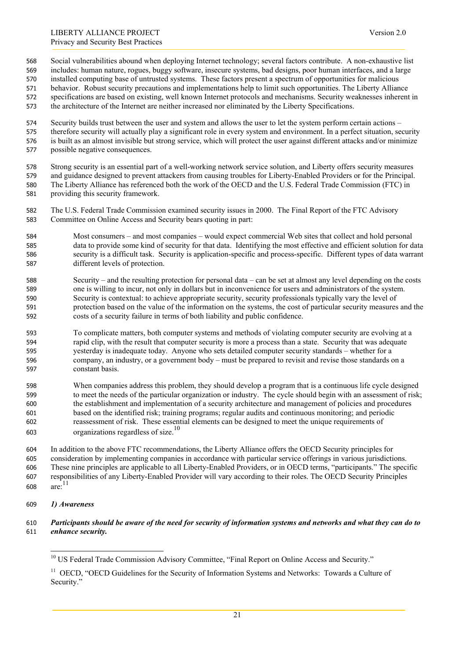- Social vulnerabilities abound when deploying Internet technology; several factors contribute. A non-exhaustive list includes: human nature, rogues, buggy software, insecure systems, bad designs, poor human interfaces, and a large 568 569
- installed computing base of untrusted systems. These factors present a spectrum of opportunities for malicious 570
- behavior. Robust security precautions and implementations help to limit such opportunities. The Liberty Alliance 571
- specifications are based on existing, well known Internet protocols and mechanisms. Security weaknesses inherent in 572
- the architecture of the Internet are neither increased nor eliminated by the Liberty Specifications. 573
- 574 575 576 Security builds trust between the user and system and allows the user to let the system perform certain actions – therefore security will actually play a significant role in every system and environment. In a perfect situation, security is built as an almost invisible but strong service, which will protect the user against different attacks and/or minimize
- 577 possible negative consequences.
- 578 579 580 Strong security is an essential part of a well-working network service solution, and Liberty offers security measures and guidance designed to prevent attackers from causing troubles for Liberty-Enabled Providers or for the Principal. The Liberty Alliance has referenced both the work of the OECD and the U.S. Federal Trade Commission (FTC) in
- 581 providing this security framework.
- 582 583 The U.S. Federal Trade Commission examined security issues in 2000. The Final Report of the FTC Advisory Committee on Online Access and Security bears quoting in part:
- 584 585 586 587 Most consumers – and most companies – would expect commercial Web sites that collect and hold personal data to provide some kind of security for that data. Identifying the most effective and efficient solution for data security is a difficult task. Security is application-specific and process-specific. Different types of data warrant different levels of protection.
- 588 589 590 591 592 Security – and the resulting protection for personal data – can be set at almost any level depending on the costs one is willing to incur, not only in dollars but in inconvenience for users and administrators of the system. Security is contextual: to achieve appropriate security, security professionals typically vary the level of protection based on the value of the information on the systems, the cost of particular security measures and the costs of a security failure in terms of both liability and public confidence.
- 593 594 595 596 597 To complicate matters, both computer systems and methods of violating computer security are evolving at a rapid clip, with the result that computer security is more a process than a state. Security that was adequate yesterday is inadequate today. Anyone who sets detailed computer security standards – whether for a company, an industry, or a government body – must be prepared to revisit and revise those standards on a constant basis.
- 598 599 600 601 602 603 When companies address this problem, they should develop a program that is a continuous life cycle designed to meet the needs of the particular organization or industry. The cycle should begin with an assessment of risk; the establishment and implementation of a security architecture and management of policies and procedures based on the identified risk; training programs; regular audits and continuous monitoring; and periodic reassessment of risk. These essential elements can be designed to meet the unique requirements of organizations regardless of size.<sup>[10](#page-21-0)</sup>
- 604 605 606 607 608 In addition to the above FTC recommendations, the Liberty Alliance offers the OECD Security principles for consideration by implementing companies in accordance with particular service offerings in various jurisdictions. These nine principles are applicable to all Liberty-Enabled Providers, or in OECD terms, "participants." The specific responsibilities of any Liberty-Enabled Provider will vary according to their roles. The OECD Security Principles are: $11$
- 609 *1) Awareness*

l

#### 610 611 *Participants should be aware of the need for security of information systems and networks and what they can do to enhance security.*

<span id="page-21-0"></span><sup>&</sup>lt;sup>10</sup> US Federal Trade Commission Advisory Committee, "Final Report on Online Access and Security."

<span id="page-21-1"></span><sup>&</sup>lt;sup>11</sup> OECD, "OECD Guidelines for the Security of Information Systems and Networks: Towards a Culture of Security."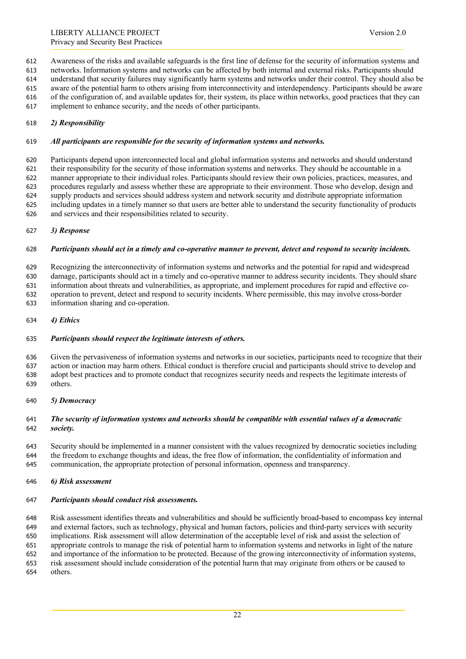Awareness of the risks and available safeguards is the first line of defense for the security of information systems and 612

networks. Information systems and networks can be affected by both internal and external risks. Participants should understand that security failures may significantly harm systems and networks under their control. They should also be 613 614

aware of the potential harm to others arising from interconnectivity and interdependency. Participants should be aware 615

of the configuration of, and available updates for, their system, its place within networks, good practices that they can 616

implement to enhance security, and the needs of other participants. 617

#### 618 *2) Responsibility*

#### 619 *All participants are responsible for the security of information systems and networks.*

620 621 622 623 624 625 626 Participants depend upon interconnected local and global information systems and networks and should understand their responsibility for the security of those information systems and networks. They should be accountable in a manner appropriate to their individual roles. Participants should review their own policies, practices, measures, and procedures regularly and assess whether these are appropriate to their environment. Those who develop, design and supply products and services should address system and network security and distribute appropriate information including updates in a timely manner so that users are better able to understand the security functionality of products and services and their responsibilities related to security.

#### 627 *3) Response*

#### 628 *Participants should act in a timely and co-operative manner to prevent, detect and respond to security incidents.*

629 630 631 Recognizing the interconnectivity of information systems and networks and the potential for rapid and widespread damage, participants should act in a timely and co-operative manner to address security incidents. They should share information about threats and vulnerabilities, as appropriate, and implement procedures for rapid and effective co-

632 operation to prevent, detect and respond to security incidents. Where permissible, this may involve cross-border

- 633 information sharing and co-operation.
- 634 *4) Ethics*

#### 635 *Participants should respect the legitimate interests of others.*

636 637 638 639 Given the pervasiveness of information systems and networks in our societies, participants need to recognize that their action or inaction may harm others. Ethical conduct is therefore crucial and participants should strive to develop and adopt best practices and to promote conduct that recognizes security needs and respects the legitimate interests of others.

- 
- 640 *5) Democracy*

#### 641 642 *The security of information systems and networks should be compatible with essential values of a democratic society.*

643 644 645 Security should be implemented in a manner consistent with the values recognized by democratic societies including the freedom to exchange thoughts and ideas, the free flow of information, the confidentiality of information and communication, the appropriate protection of personal information, openness and transparency.

646 *6) Risk assessment* 

#### 647 *Participants should conduct risk assessments.*

648 649 650 651 652 653 654 Risk assessment identifies threats and vulnerabilities and should be sufficiently broad-based to encompass key internal and external factors, such as technology, physical and human factors, policies and third-party services with security implications. Risk assessment will allow determination of the acceptable level of risk and assist the selection of appropriate controls to manage the risk of potential harm to information systems and networks in light of the nature and importance of the information to be protected. Because of the growing interconnectivity of information systems, risk assessment should include consideration of the potential harm that may originate from others or be caused to others.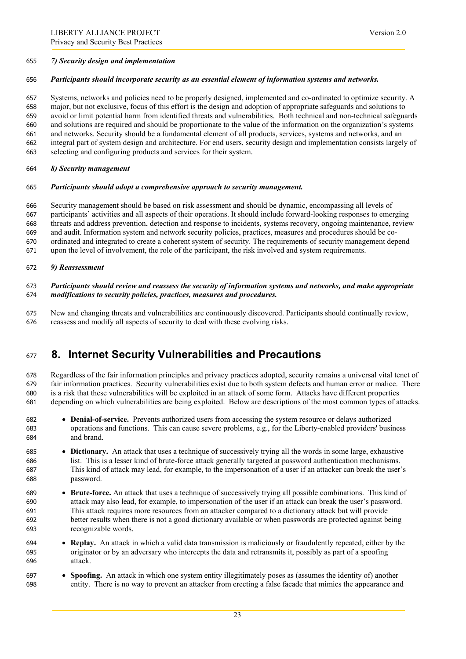# <span id="page-23-0"></span>655 *7) Security design and implementation*

#### 656 *Participants should incorporate security as an essential element of information systems and networks.*

657 658 659 660 661 662 663 Systems, networks and policies need to be properly designed, implemented and co-ordinated to optimize security. A major, but not exclusive, focus of this effort is the design and adoption of appropriate safeguards and solutions to avoid or limit potential harm from identified threats and vulnerabilities. Both technical and non-technical safeguards and solutions are required and should be proportionate to the value of the information on the organization's systems and networks. Security should be a fundamental element of all products, services, systems and networks, and an integral part of system design and architecture. For end users, security design and implementation consists largely of selecting and configuring products and services for their system.

664 *8) Security management* 

#### 665 *Participants should adopt a comprehensive approach to security management.*

666 667 668 669 670 671 Security management should be based on risk assessment and should be dynamic, encompassing all levels of participants' activities and all aspects of their operations. It should include forward-looking responses to emerging threats and address prevention, detection and response to incidents, systems recovery, ongoing maintenance, review and audit. Information system and network security policies, practices, measures and procedures should be coordinated and integrated to create a coherent system of security. The requirements of security management depend upon the level of involvement, the role of the participant, the risk involved and system requirements.

672 *9) Reassessment*

#### 673 674 *Participants should review and reassess the security of information systems and networks, and make appropriate modifications to security policies, practices, measures and procedures.*

675 676 New and changing threats and vulnerabilities are continuously discovered. Participants should continually review, reassess and modify all aspects of security to deal with these evolving risks.

## 677 **8. Internet Security Vulnerabilities and Precautions**

678 679 680 681 Regardless of the fair information principles and privacy practices adopted, security remains a universal vital tenet of fair information practices. Security vulnerabilities exist due to both system defects and human error or malice. There is a risk that these vulnerabilities will be exploited in an attack of some form. Attacks have different properties depending on which vulnerabilities are being exploited. Below are descriptions of the most common types of attacks.

- 682 683 684 • **Denial-of-service.** Prevents authorized users from accessing the system resource or delays authorized operations and functions. This can cause severe problems, e.g., for the Liberty-enabled providers' business and brand.
- 685 686 687 688 • **Dictionary.** An attack that uses a technique of successively trying all the words in some large, exhaustive list. This is a lesser kind of brute-force attack generally targeted at password authentication mechanisms. This kind of attack may lead, for example, to the impersonation of a user if an attacker can break the user's password.
- 689 690 691 692 693 • **Brute-force.** An attack that uses a technique of successively trying all possible combinations. This kind of attack may also lead, for example, to impersonation of the user if an attack can break the user's password. This attack requires more resources from an attacker compared to a dictionary attack but will provide better results when there is not a good dictionary available or when passwords are protected against being recognizable words.
- 694 695 696 • **Replay.** An attack in which a valid data transmission is maliciously or fraudulently repeated, either by the originator or by an adversary who intercepts the data and retransmits it, possibly as part of a spoofing attack.
- 697 698 • **Spoofing.** An attack in which one system entity illegitimately poses as (assumes the identity of) another entity. There is no way to prevent an attacker from erecting a false facade that mimics the appearance and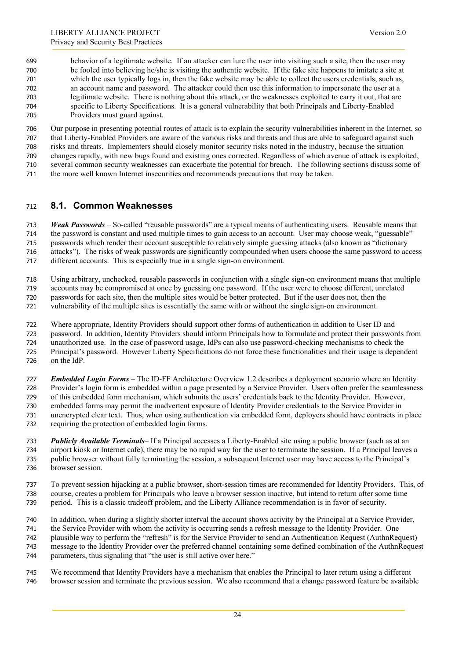<span id="page-24-0"></span>behavior of a legitimate website. If an attacker can lure the user into visiting such a site, then the user may be fooled into believing he/she is visiting the authentic website. If the fake site happens to imitate a site at which the user typically logs in, then the fake website may be able to collect the users credentials, such as, an account name and password. The attacker could then use this information to impersonate the user at a legitimate website. There is nothing about this attack, or the weaknesses exploited to carry it out, that are specific to Liberty Specifications. It is a general vulnerability that both Principals and Liberty-Enabled Providers must guard against. 699 700 701 702 703 704 705

706 707 708 709 710 711 Our purpose in presenting potential routes of attack is to explain the security vulnerabilities inherent in the Internet, so that Liberty-Enabled Providers are aware of the various risks and threats and thus are able to safeguard against such risks and threats. Implementers should closely monitor security risks noted in the industry, because the situation changes rapidly, with new bugs found and existing ones corrected. Regardless of which avenue of attack is exploited, several common security weaknesses can exacerbate the potential for breach. The following sections discuss some of the more well known Internet insecurities and recommends precautions that may be taken.

#### 712 **8.1. Common Weaknesses**

713 714 715 716 *Weak Passwords* – So-called "reusable passwords" are a typical means of authenticating users. Reusable means that the password is constant and used multiple times to gain access to an account. User may choose weak, "guessable" passwords which render their account susceptible to relatively simple guessing attacks (also known as "dictionary attacks"). The risks of weak passwords are significantly compounded when users choose the same password to access

717 different accounts. This is especially true in a single sign-on environment.

718 Using arbitrary, unchecked, reusable passwords in conjunction with a single sign-on environment means that multiple

719 accounts may be compromised at once by guessing one password. If the user were to choose different, unrelated

720 passwords for each site, then the multiple sites would be better protected. But if the user does not, then the

721 vulnerability of the multiple sites is essentially the same with or without the single sign-on environment.

722 723 724 Where appropriate, Identity Providers should support other forms of authentication in addition to User ID and password. In addition, Identity Providers should inform Principals how to formulate and protect their passwords from unauthorized use. In the case of password usage, IdPs can also use password-checking mechanisms to check the

725 726 Principal's password. However Liberty Specifications do not force these functionalities and their usage is dependent on the IdP.

727 728 729 730 731 732 *Embedded Login Forms* – The ID-FF Architecture Overview 1.2 describes a deployment scenario where an Identity Provider's login form is embedded within a page presented by a Service Provider. Users often prefer the seamlessness of this embedded form mechanism, which submits the users' credentials back to the Identity Provider. However, embedded forms may permit the inadvertent exposure of Identity Provider credentials to the Service Provider in unencrypted clear text. Thus, when using authentication via embedded form, deployers should have contracts in place requiring the protection of embedded login forms.

733 734 735 736 *Publicly Available Terminals*– If a Principal accesses a Liberty-Enabled site using a public browser (such as at an airport kiosk or Internet cafe), there may be no rapid way for the user to terminate the session. If a Principal leaves a public browser without fully terminating the session, a subsequent Internet user may have access to the Principal's browser session.

737 738 To prevent session hijacking at a public browser, short-session times are recommended for Identity Providers. This, of course, creates a problem for Principals who leave a browser session inactive, but intend to return after some time

739 period. This is a classic tradeoff problem, and the Liberty Alliance recommendation is in favor of security.

740 In addition, when during a slightly shorter interval the account shows activity by the Principal at a Service Provider,

741 742 743 744 the Service Provider with whom the activity is occurring sends a refresh message to the Identity Provider. One plausible way to perform the "refresh" is for the Service Provider to send an Authentication Request (AuthnRequest) message to the Identity Provider over the preferred channel containing some defined combination of the AuthnRequest parameters, thus signaling that "the user is still active over here."

745 746 We recommend that Identity Providers have a mechanism that enables the Principal to later return using a different browser session and terminate the previous session. We also recommend that a change password feature be available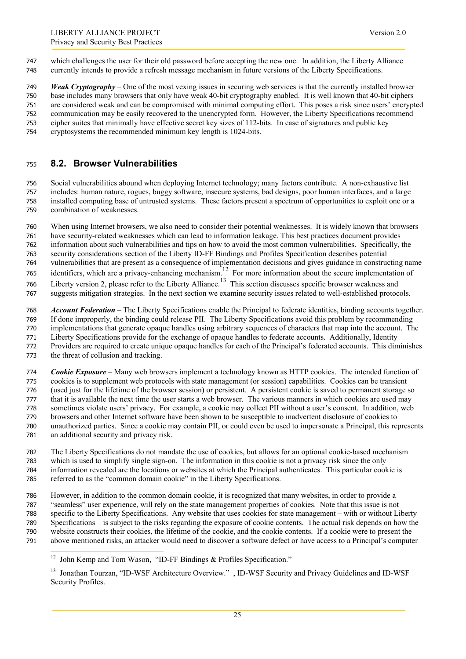<span id="page-25-0"></span>which challenges the user for their old password before accepting the new one. In addition, the Liberty Alliance currently intends to provide a refresh message mechanism in future versions of the Liberty Specifications. 747 748

749 750 751 752 753 *Weak Cryptography* – One of the most vexing issues in securing web services is that the currently installed browser base includes many browsers that only have weak 40-bit cryptography enabled. It is well known that 40-bit ciphers are considered weak and can be compromised with minimal computing effort. This poses a risk since users' encrypted communication may be easily recovered to the unencrypted form. However, the Liberty Specifications recommend cipher suites that minimally have effective secret key sizes of 112-bits. In case of signatures and public key

754 cryptosystems the recommended minimum key length is 1024-bits.

#### 755 **8.2. Browser Vulnerabilities**

756 757 758 759 Social vulnerabilities abound when deploying Internet technology; many factors contribute. A non-exhaustive list includes: human nature, rogues, buggy software, insecure systems, bad designs, poor human interfaces, and a large installed computing base of untrusted systems. These factors present a spectrum of opportunities to exploit one or a combination of weaknesses.

760 When using Internet browsers, we also need to consider their potential weaknesses. It is widely known that browsers

761 762 have security-related weaknesses which can lead to information leakage. This best practices document provides information about such vulnerabilities and tips on how to avoid the most common vulnerabilities. Specifically, the

763 security considerations section of the Liberty ID-FF Bindings and Profiles Specification describes potential

764 vulnerabilities that are present as a consequence of implementation decisions and gives guidance in constructing name

765 identifiers, which are a privacy-enhancing mechanism.<sup>12</sup> For more information about the secure implementation of

766 Liberty version 2, please refer to the Liberty Alliance.<sup>13</sup> This section discusses specific browser weakness and

767 suggests mitigation strategies. In the next section we examine security issues related to well-established protocols.

768 769 770 771 772 *Account Federation* – The Liberty Specifications enable the Principal to federate identities, binding accounts together. If done improperly, the binding could release PII. The Liberty Specifications avoid this problem by recommending implementations that generate opaque handles using arbitrary sequences of characters that map into the account. The Liberty Specifications provide for the exchange of opaque handles to federate accounts. Additionally, Identity Providers are required to create unique opaque handles for each of the Principal's federated accounts. This diminishes

773 the threat of collusion and tracking.

774 775 776 777 778 779 780 781 *Cookie Exposure* – Many web browsers implement a technology known as HTTP cookies. The intended function of cookies is to supplement web protocols with state management (or session) capabilities. Cookies can be transient (used just for the lifetime of the browser session) or persistent. A persistent cookie is saved to permanent storage so that it is available the next time the user starts a web browser. The various manners in which cookies are used may sometimes violate users' privacy. For example, a cookie may collect PII without a user's consent. In addition, web browsers and other Internet software have been shown to be susceptible to inadvertent disclosure of cookies to unauthorized parties. Since a cookie may contain PII, or could even be used to impersonate a Principal, this represents an additional security and privacy risk.

782 783 784 785 The Liberty Specifications do not mandate the use of cookies, but allows for an optional cookie-based mechanism which is used to simplify single sign-on. The information in this cookie is not a privacy risk since the only information revealed are the locations or websites at which the Principal authenticates. This particular cookie is referred to as the "common domain cookie" in the Liberty Specifications.

786 787 788 789 790 791 However, in addition to the common domain cookie, it is recognized that many websites, in order to provide a "seamless" user experience, will rely on the state management properties of cookies. Note that this issue is not specific to the Liberty Specifications. Any website that uses cookies for state management – with or without Liberty Specifications – is subject to the risks regarding the exposure of cookie contents. The actual risk depends on how the website constructs their cookies, the lifetime of the cookie, and the cookie contents. If a cookie were to present the above mentioned risks, an attacker would need to discover a software defect or have access to a Principal's computer

<span id="page-25-1"></span>l <sup>12</sup> John Kemp and Tom Wason, "ID-FF Bindings & Profiles Specification."

<span id="page-25-2"></span><sup>&</sup>lt;sup>13</sup> Jonathan Tourzan, "ID-WSF Architecture Overview.", ID-WSF Security and Privacy Guidelines and ID-WSF Security Profiles.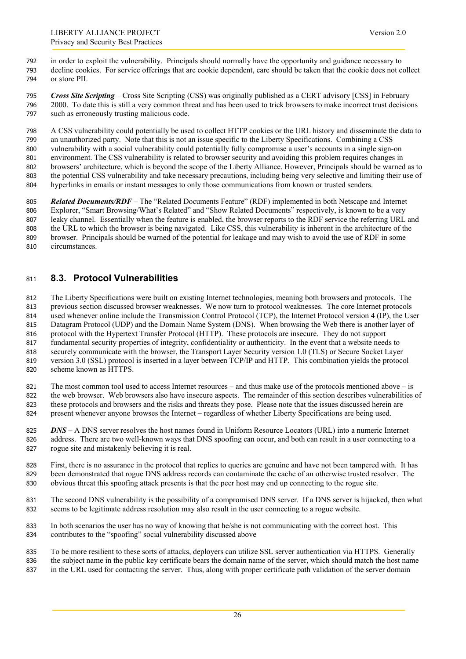<span id="page-26-0"></span>in order to exploit the vulnerability. Principals should normally have the opportunity and guidance necessary to decline cookies. For service offerings that are cookie dependent, care should be taken that the cookie does not collect or store PII. 792 793 794

795 796 797 *Cross Site Scripting* – Cross Site Scripting (CSS) was originally published as a CERT advisory [CSS] in February 2000. To date this is still a very common threat and has been used to trick browsers to make incorrect trust decisions such as erroneously trusting malicious code.

798 799 800 801 802 803 804 A CSS vulnerability could potentially be used to collect HTTP cookies or the URL history and disseminate the data to an unauthorized party. Note that this is not an issue specific to the Liberty Specifications. Combining a CSS vulnerability with a social vulnerability could potentially fully compromise a user's accounts in a single sign-on environment. The CSS vulnerability is related to browser security and avoiding this problem requires changes in browsers' architecture, which is beyond the scope of the Liberty Alliance. However, Principals should be warned as to the potential CSS vulnerability and take necessary precautions, including being very selective and limiting their use of hyperlinks in emails or instant messages to only those communications from known or trusted senders.

805 806 807 808 809 810 *Related Documents/RDF* – The "Related Documents Feature" (RDF) implemented in both Netscape and Internet Explorer, "Smart Browsing/What's Related" and "Show Related Documents" respectively, is known to be a very leaky channel. Essentially when the feature is enabled, the browser reports to the RDF service the referring URL and the URL to which the browser is being navigated. Like CSS, this vulnerability is inherent in the architecture of the browser. Principals should be warned of the potential for leakage and may wish to avoid the use of RDF in some circumstances.

#### 811 **8.3. Protocol Vulnerabilities**

812 813 814 815 816 817 818 819 820 The Liberty Specifications were built on existing Internet technologies, meaning both browsers and protocols. The previous section discussed browser weaknesses. We now turn to protocol weaknesses. The core Internet protocols used whenever online include the Transmission Control Protocol (TCP), the Internet Protocol version 4 (IP), the User Datagram Protocol (UDP) and the Domain Name System (DNS). When browsing the Web there is another layer of protocol with the Hypertext Transfer Protocol (HTTP). These protocols are insecure. They do not support fundamental security properties of integrity, confidentiality or authenticity. In the event that a website needs to securely communicate with the browser, the Transport Layer Security version 1.0 (TLS) or Secure Socket Layer version 3.0 (SSL) protocol is inserted in a layer between TCP/IP and HTTP. This combination yields the protocol scheme known as HTTPS.

821 822 823 The most common tool used to access Internet resources – and thus make use of the protocols mentioned above – is the web browser. Web browsers also have insecure aspects. The remainder of this section describes vulnerabilities of these protocols and browsers and the risks and threats they pose. Please note that the issues discussed herein are

824 present whenever anyone browses the Internet – regardless of whether Liberty Specifications are being used.

825 826 827 *DNS* – A DNS server resolves the host names found in Uniform Resource Locators (URL) into a numeric Internet address. There are two well-known ways that DNS spoofing can occur, and both can result in a user connecting to a rogue site and mistakenly believing it is real.

828 829 830 First, there is no assurance in the protocol that replies to queries are genuine and have not been tampered with. It has been demonstrated that rogue DNS address records can contaminate the cache of an otherwise trusted resolver. The obvious threat this spoofing attack presents is that the peer host may end up connecting to the rogue site.

831 832 The second DNS vulnerability is the possibility of a compromised DNS server. If a DNS server is hijacked, then what seems to be legitimate address resolution may also result in the user connecting to a rogue website.

833 834 In both scenarios the user has no way of knowing that he/she is not communicating with the correct host. This contributes to the "spoofing" social vulnerability discussed above

- 835 To be more resilient to these sorts of attacks, deployers can utilize SSL server authentication via HTTPS. Generally
- 836 the subject name in the public key certificate bears the domain name of the server, which should match the host name
- 837 in the URL used for contacting the server. Thus, along with proper certificate path validation of the server domain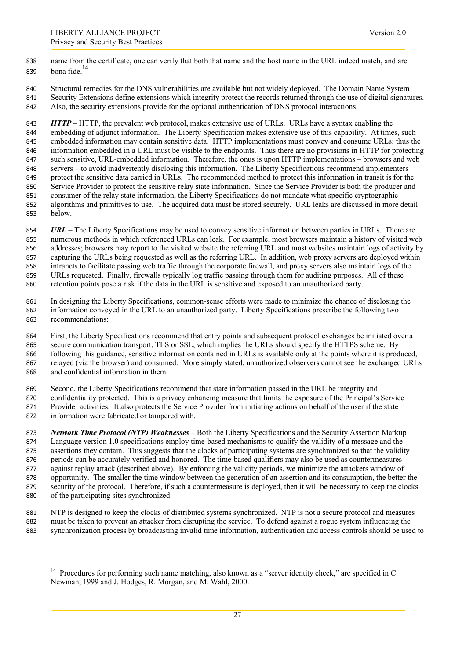name from the certificate, one can verify that both that name and the host name in the URL indeed match, and are bona fide. [14](#page-27-0)  838 839

840 841 Structural remedies for the DNS vulnerabilities are available but not widely deployed. The Domain Name System Security Extensions define extensions which integrity protect the records returned through the use of digital signatures.

842 Also, the security extensions provide for the optional authentication of DNS protocol interactions.

843 844 845 846 847 848 849 850 851 852 853 *HTTP –* HTTP, the prevalent web protocol, makes extensive use of URLs. URLs have a syntax enabling the embedding of adjunct information. The Liberty Specification makes extensive use of this capability. At times, such embedded information may contain sensitive data. HTTP implementations must convey and consume URLs; thus the information embedded in a URL must be visible to the endpoints. Thus there are no provisions in HTTP for protecting such sensitive, URL-embedded information. Therefore, the onus is upon HTTP implementations – browsers and web servers – to avoid inadvertently disclosing this information. The Liberty Specifications recommend implementers protect the sensitive data carried in URLs. The recommended method to protect this information in transit is for the Service Provider to protect the sensitive relay state information. Since the Service Provider is both the producer and consumer of the relay state information, the Liberty Specifications do not mandate what specific cryptographic algorithms and primitives to use. The acquired data must be stored securely. URL leaks are discussed in more detail below.

854 855 856 857 858 859 860 *URL* – The Liberty Specifications may be used to convey sensitive information between parties in URLs. There are numerous methods in which referenced URLs can leak. For example, most browsers maintain a history of visited web addresses; browsers may report to the visited website the referring URL and most websites maintain logs of activity by capturing the URLs being requested as well as the referring URL. In addition, web proxy servers are deployed within intranets to facilitate passing web traffic through the corporate firewall, and proxy servers also maintain logs of the URLs requested. Finally, firewalls typically log traffic passing through them for auditing purposes. All of these retention points pose a risk if the data in the URL is sensitive and exposed to an unauthorized party.

861 862 863 In designing the Liberty Specifications, common-sense efforts were made to minimize the chance of disclosing the information conveyed in the URL to an unauthorized party. Liberty Specifications prescribe the following two recommendations:

864 865 866 867 868 First, the Liberty Specifications recommend that entry points and subsequent protocol exchanges be initiated over a secure communication transport, TLS or SSL, which implies the URLs should specify the HTTPS scheme. By following this guidance, sensitive information contained in URLs is available only at the points where it is produced, relayed (via the browser) and consumed. More simply stated, unauthorized observers cannot see the exchanged URLs and confidential information in them.

869 Second, the Liberty Specifications recommend that state information passed in the URL be integrity and

870 871 confidentiality protected. This is a privacy enhancing measure that limits the exposure of the Principal's Service Provider activities. It also protects the Service Provider from initiating actions on behalf of the user if the state

872 information were fabricated or tampered with.

l

873 874 875 876 877 878 879 880 *Network Time Protocol (NTP) Weaknesses* – Both the Liberty Specifications and the Security Assertion Markup Language version 1.0 specifications employ time-based mechanisms to qualify the validity of a message and the assertions they contain. This suggests that the clocks of participating systems are synchronized so that the validity periods can be accurately verified and honored. The time-based qualifiers may also be used as countermeasures against replay attack (described above). By enforcing the validity periods, we minimize the attackers window of opportunity. The smaller the time window between the generation of an assertion and its consumption, the better the security of the protocol. Therefore, if such a countermeasure is deployed, then it will be necessary to keep the clocks of the participating sites synchronized.

- 881 882 NTP is designed to keep the clocks of distributed systems synchronized. NTP is not a secure protocol and measures must be taken to prevent an attacker from disrupting the service. To defend against a rogue system influencing the
- 883 synchronization process by broadcasting invalid time information, authentication and access controls should be used to

<span id="page-27-0"></span><sup>&</sup>lt;sup>14</sup> Procedures for performing such name matching, also known as a "server identity check," are specified in C. Newman, 1999 and J. Hodges, R. Morgan, and M. Wahl, 2000.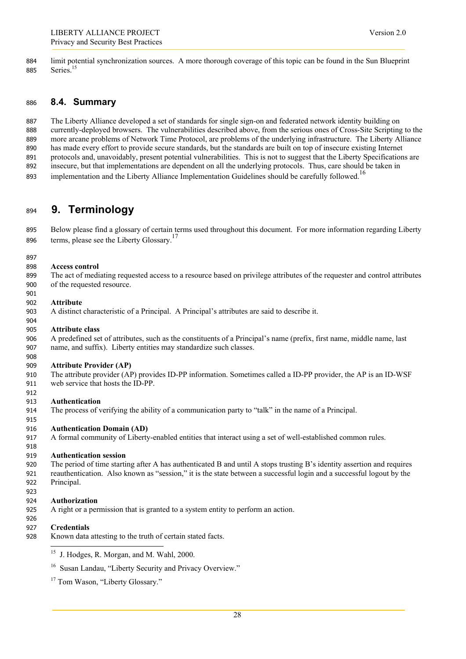<span id="page-28-0"></span>limit potential synchronization sources. A more thorough coverage of this topic can be found in the Sun Blueprint Series.<sup>[15](#page-28-1)</sup> 884 885

#### 886 **8.4. Summary**

887 888 889 890 891 892 The Liberty Alliance developed a set of standards for single sign-on and federated network identity building on currently-deployed browsers. The vulnerabilities described above, from the serious ones of Cross-Site Scripting to the more arcane problems of Network Time Protocol, are problems of the underlying infrastructure. The Liberty Alliance has made every effort to provide secure standards, but the standards are built on top of insecure existing Internet protocols and, unavoidably, present potential vulnerabilities. This is not to suggest that the Liberty Specifications are insecure, but that implementations are dependent on all the underlying protocols. Thus, care should be taken in

893 implementation and the Liberty Alliance Implementation Guidelines should be carefully followed.<sup>[16](#page-28-2)</sup>

## 894 **9. Terminology**

895 896 Below please find a glossary of certain terms used throughout this document. For more information regarding Liberty terms, please see the Liberty Glossary. [17](#page-28-3)

897

901

904

908

912

915

918

923

#### 898 **Access control**

899 900 The act of mediating requested access to a resource based on privilege attributes of the requester and control attributes of the requested resource.

#### 902 **Attribute**

903 A distinct characteristic of a Principal. A Principal's attributes are said to describe it.

#### 905 **Attribute class**

906 907 A predefined set of attributes, such as the constituents of a Principal's name (prefix, first name, middle name, last name, and suffix). Liberty entities may standardize such classes.

#### 909 **Attribute Provider (AP)**

910 911 The attribute provider (AP) provides ID-PP information. Sometimes called a ID-PP provider, the AP is an ID-WSF web service that hosts the ID-PP

#### 913 **Authentication**

- 914 The process of verifying the ability of a communication party to "talk" in the name of a Principal.
- 916 **Authentication Domain (AD)**

917 A formal community of Liberty-enabled entities that interact using a set of well-established common rules.

#### 919 **Authentication session**

920 921 922 The period of time starting after A has authenticated B and until A stops trusting B's identity assertion and requires reauthentication. Also known as "session," it is the state between a successful login and a successful logout by the Principal.

#### 924 **Authorization**

925 A right or a permission that is granted to a system entity to perform an action.

#### 926 927 **Credentials**

<span id="page-28-3"></span><span id="page-28-2"></span><span id="page-28-1"></span>l

- 928 Known data attesting to the truth of certain stated facts.
	- <sup>15</sup> J. Hodges, R. Morgan, and M. Wahl, 2000.
	- <sup>16</sup> Susan Landau, "Liberty Security and Privacy Overview."
	- <sup>17</sup> Tom Wason, "Liberty Glossary."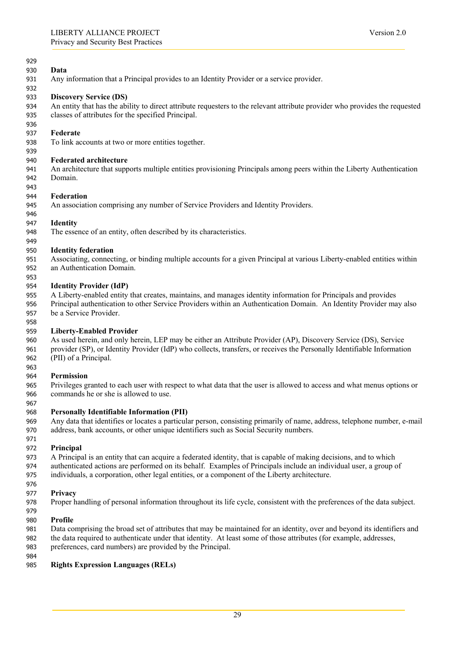932

936

939

946

949

953

931 Any information that a Principal provides to an Identity Provider or a service provider.

#### 933 **Discovery Service (DS)**

934 935 An entity that has the ability to direct attribute requesters to the relevant attribute provider who provides the requested classes of attributes for the specified Principal.

#### 937 **Federate**

**Data** 

938 To link accounts at two or more entities together.

#### 940 **Federated architecture**

941 942 An architecture that supports multiple entities provisioning Principals among peers within the Liberty Authentication Domain.

#### 943 944 **Federation**

945 An association comprising any number of Service Providers and Identity Providers.

#### 947 **Identity**

948 The essence of an entity, often described by its characteristics.

#### 950 **Identity federation**

951 952 Associating, connecting, or binding multiple accounts for a given Principal at various Liberty-enabled entities within an Authentication Domain.

#### 954 **Identity Provider (IdP)**

- 955 956 957 A Liberty-enabled entity that creates, maintains, and manages identity information for Principals and provides Principal authentication to other Service Providers within an Authentication Domain. An Identity Provider may also be a Service Provider.
- 958

963

#### 959 **Liberty-Enabled Provider**

960 961 962 As used herein, and only herein, LEP may be either an Attribute Provider (AP), Discovery Service (DS), Service provider (SP), or Identity Provider (IdP) who collects, transfers, or receives the Personally Identifiable Information (PII) of a Principal.

#### 964 **Permission**

965 966 Privileges granted to each user with respect to what data that the user is allowed to access and what menus options or commands he or she is allowed to use.

967

971

976

979

#### 968 **Personally Identifiable Information (PII)**

969 970 Any data that identifies or locates a particular person, consisting primarily of name, address, telephone number, e-mail address, bank accounts, or other unique identifiers such as Social Security numbers.

#### 972 **Principal**

973 974 975 A Principal is an entity that can acquire a federated identity, that is capable of making decisions, and to which authenticated actions are performed on its behalf. Examples of Principals include an individual user, a group of individuals, a corporation, other legal entities, or a component of the Liberty architecture.

#### 977 **Privacy**

978 Proper handling of personal information throughout its life cycle, consistent with the preferences of the data subject.

#### 980 **Profile**

- 981 982 Data comprising the broad set of attributes that may be maintained for an identity, over and beyond its identifiers and the data required to authenticate under that identity. At least some of those attributes (for example, addresses,
- 983 preferences, card numbers) are provided by the Principal.
- 984

#### 985 **Rights Expression Languages (RELs)**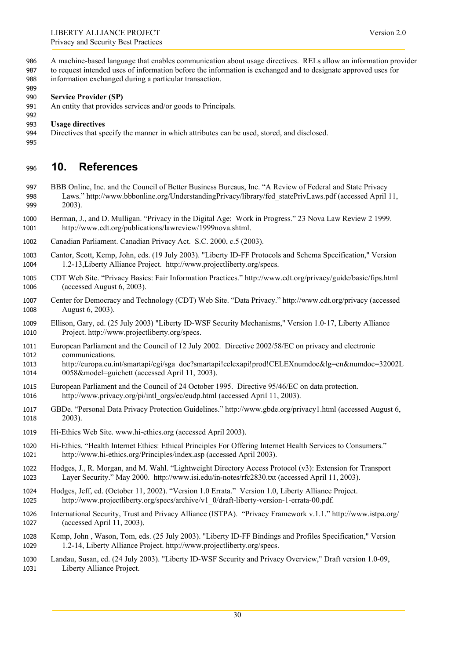- <span id="page-30-0"></span>A machine-based language that enables communication about usage directives. RELs allow an information provider to request intended uses of information before the information is exchanged and to designate approved uses for 986 987
- information exchanged during a particular transaction. 988

#### 990 **Service Provider (SP)**

- 991 992 An entity that provides services and/or goods to Principals.
- 993 **Usage directives**
- 994 Directives that specify the manner in which attributes can be used, stored, and disclosed.
- 995

### 996 **10. References**

- 997 998 999 BBB Online, Inc. and the Council of Better Business Bureaus, Inc. "A Review of Federal and State Privacy Laws." http://www.bbbonline.org/UnderstandingPrivacy/library/fed\_statePrivLaws.pdf (accessed April 11, 2003).
- 1000 1001 Berman, J., and D. Mulligan. "Privacy in the Digital Age: Work in Progress." 23 Nova Law Review 2 1999. http://www.cdt.org/publications/lawreview/1999nova.shtml.
- 1002 Canadian Parliament. Canadian Privacy Act. S.C. 2000, c.5 (2003).
- 1003 1004 Cantor, Scott, Kemp, John, eds. (19 July 2003). "Liberty ID-FF Protocols and Schema Specification," Version 1.2-13,Liberty Alliance Project. http://www.projectliberty.org/specs.
- 1005 1006 CDT Web Site. "Privacy Basics: Fair Information Practices." http://www.cdt.org/privacy/guide/basic/fips.html (accessed August 6, 2003).
- 1007 1008 Center for Democracy and Technology (CDT) Web Site. "Data Privacy." http://www.cdt.org/privacy (accessed August 6, 2003).
- 1009 1010 Ellison, Gary, ed. (25 July 2003) "Liberty ID-WSF Security Mechanisms," Version 1.0-17, Liberty Alliance Project. http://www.projectliberty.org/specs.
- 1011 1012 European Parliament and the Council of 12 July 2002. Directive 2002/58/EC on privacy and electronic communications.
- 1013 1014 http://europa.eu.int/smartapi/cgi/sga\_doc?smartapi!celexapi!prod!CELEXnumdoc&lg=en&numdoc=32002L 0058&model=guichett (accessed April 11, 2003).
- 1015 1016 European Parliament and the Council of 24 October 1995. Directive 95/46/EC on data protection. [http://www.privacy.org/pi/intl\\_orgs/ec/eudp.html](http://www.privacy.org/pi/intl_orgs/ec/eudp.html) (accessed April 11, 2003).
- 1017 1018 GBDe. "Personal Data Privacy Protection Guidelines." http://www.gbde.org/privacy1.html (accessed August 6, 2003).
- 1019 Hi-Ethics Web Site. www.hi-ethics.org (accessed April 2003).
- 1020 1021 Hi-Ethics. "Health Internet Ethics: Ethical Principles For Offering Internet Health Services to Consumers." <http://www.hi-ethics.org/Principles/index.asp> (accessed April 2003).
- 1022 1023 Hodges, J., R. Morgan, and M. Wahl. "Lightweight Directory Access Protocol (v3): Extension for Transport Layer Security." May 2000. <http://www.isi.edu/in-notes/rfc2830.txt> (accessed April 11, 2003).
- 1024 1025 Hodges, Jeff, ed. (October 11, 2002). "Version 1.0 Errata." Version 1.0, Liberty Alliance Project. http://www.projectliberty.org/specs/archive/v1\_0/draft-liberty-version-1-errata-00.pdf.
- 1026 1027 International Security, Trust and Privacy Alliance (ISTPA). "Privacy Framework v.1.1." http://www.istpa.org/ (accessed April 11, 2003).
- 1028 1029 Kemp, John , Wason, Tom, eds. (25 July 2003). "Liberty ID-FF Bindings and Profiles Specification," Version 1.2-14, Liberty Alliance Project. http://www.projectliberty.org/specs.
- 1030 1031 Landau, Susan, ed. (24 July 2003). "Liberty ID-WSF Security and Privacy Overview," Draft version 1.0-09, Liberty Alliance Project.